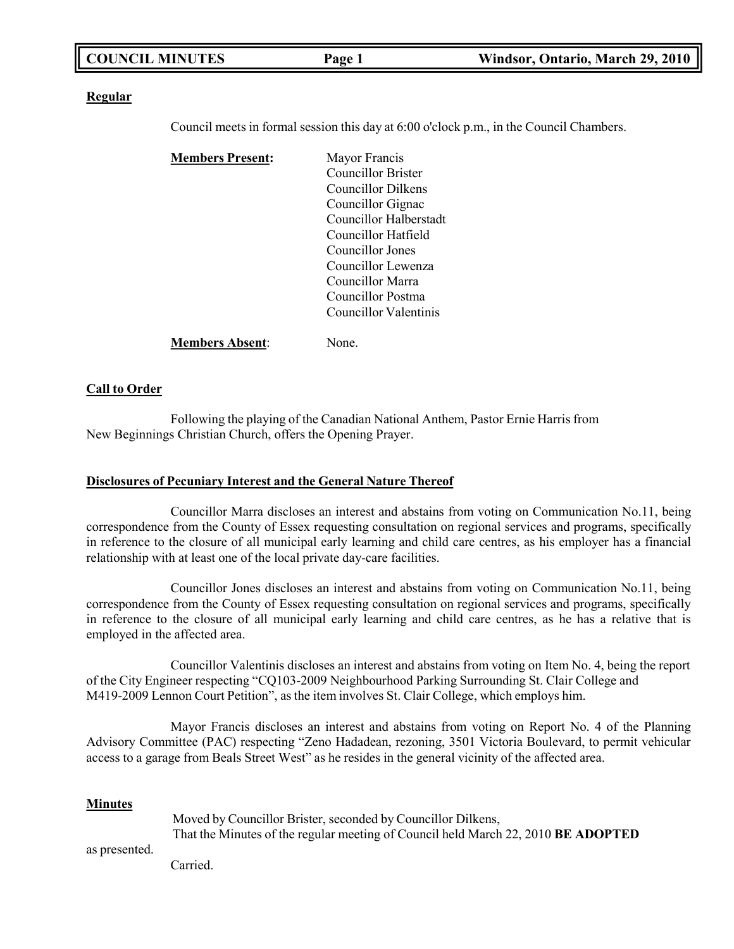| <b>COUNCIL MINUTES</b> | Page 1 | Windsor, Ontario, March 29, 2010 |
|------------------------|--------|----------------------------------|
|                        |        |                                  |

#### **Regular**

Council meets in formal session this day at 6:00 o'clock p.m., in the Council Chambers.

| <b>Members Present:</b> | Mayor Francis          |
|-------------------------|------------------------|
|                         | Councillor Brister     |
|                         | Councillor Dilkens     |
|                         | Councillor Gignac      |
|                         | Councillor Halberstadt |
|                         | Councillor Hatfield    |
|                         | Councillor Jones       |
|                         | Councillor Lewenza     |
|                         | Councillor Marra       |
|                         | Councillor Postma      |
|                         | Councillor Valentinis  |
| <b>Members Absent:</b>  | None.                  |

## **Call to Order**

Following the playing of the Canadian National Anthem, Pastor Ernie Harris from New Beginnings Christian Church, offers the Opening Prayer.

#### **Disclosures of Pecuniary Interest and the General Nature Thereof**

Councillor Marra discloses an interest and abstains from voting on Communication No.11, being correspondence from the County of Essex requesting consultation on regional services and programs, specifically in reference to the closure of all municipal early learning and child care centres, as his employer has a financial relationship with at least one of the local private day-care facilities.

Councillor Jones discloses an interest and abstains from voting on Communication No.11, being correspondence from the County of Essex requesting consultation on regional services and programs, specifically in reference to the closure of all municipal early learning and child care centres, as he has a relative that is employed in the affected area.

Councillor Valentinis discloses an interest and abstains from voting on Item No. 4, being the report of the City Engineer respecting "CQ103-2009 Neighbourhood Parking Surrounding St. Clair College and M419-2009 Lennon Court Petition", as the item involves St. Clair College, which employs him.

Mayor Francis discloses an interest and abstains from voting on Report No. 4 of the Planning Advisory Committee (PAC) respecting "Zeno Hadadean, rezoning, 3501 Victoria Boulevard, to permit vehicular access to a garage from Beals Street West" as he resides in the general vicinity of the affected area.

#### **Minutes**

|     | Moved by Councillor Brister, seconded by Councillor Dilkens,                      |
|-----|-----------------------------------------------------------------------------------|
|     | That the Minutes of the regular meeting of Council held March 22, 2010 BE ADOPTED |
| . 1 |                                                                                   |

as presented. Carried.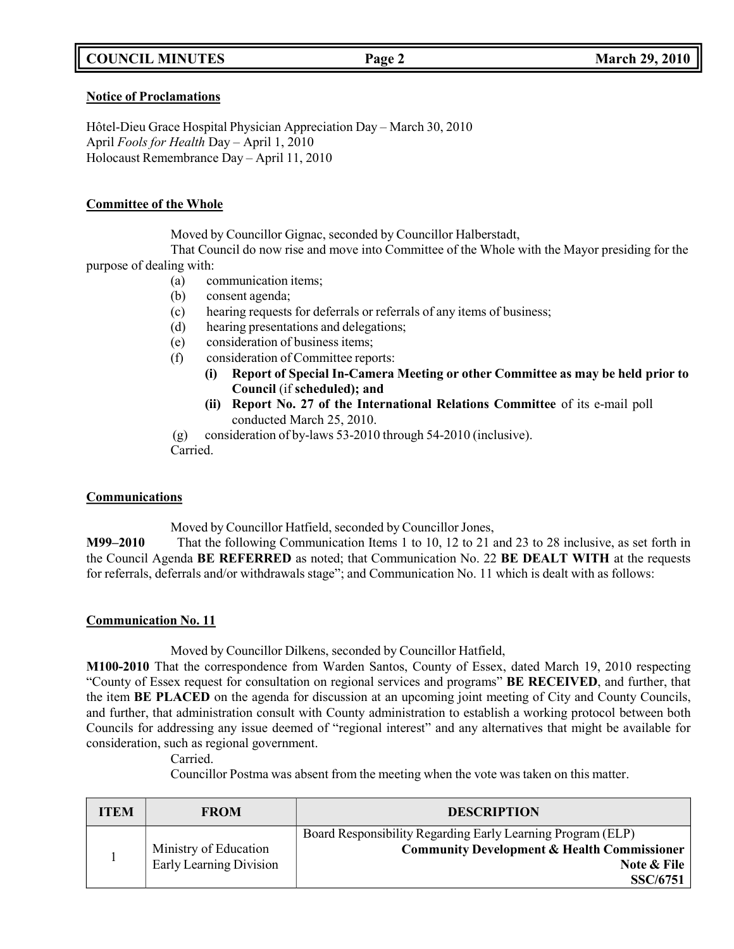## **COUNCIL MINUTES Page 2 March 29, 2010**

#### **Notice of Proclamations**

Hôtel-Dieu Grace Hospital Physician Appreciation Day – March 30, 2010 April *Fools for Health* Day – April 1, 2010 Holocaust Remembrance Day – April 11, 2010

### **Committee of the Whole**

Moved by Councillor Gignac, seconded by Councillor Halberstadt,

That Council do now rise and move into Committee of the Whole with the Mayor presiding for the purpose of dealing with:

- (a) communication items;
- (b) consent agenda;
- (c) hearing requests for deferrals or referrals of any items of business;
- (d) hearing presentations and delegations;
- (e) consideration of business items;
- (f) consideration of Committee reports:
	- **(i) Report of Special In-Camera Meeting or other Committee as may be held prior to Council** (if **scheduled); and**
	- **(ii) Report No. 27 of the International Relations Committee** of its e-mail poll conducted March 25, 2010.
- (g) consideration of by-laws 53-2010 through 54-2010 (inclusive).

Carried.

## **Communications**

Moved by Councillor Hatfield, seconded by Councillor Jones,

**M99–2010** That the following Communication Items 1 to 10, 12 to 21 and 23 to 28 inclusive, as set forth in the Council Agenda **BE REFERRED** as noted; that Communication No. 22 **BE DEALT WITH** at the requests for referrals, deferrals and/or withdrawals stage"; and Communication No. 11 which is dealt with as follows:

## **Communication No. 11**

Moved by Councillor Dilkens, seconded by Councillor Hatfield,

**M100-2010** That the correspondence from Warden Santos, County of Essex, dated March 19, 2010 respecting "County of Essex request for consultation on regional services and programs" **BE RECEIVED**, and further, that the item **BE PLACED** on the agenda for discussion at an upcoming joint meeting of City and County Councils, and further, that administration consult with County administration to establish a working protocol between both Councils for addressing any issue deemed of "regional interest" and any alternatives that might be available for consideration, such as regional government.

Carried.

Councillor Postma was absent from the meeting when the vote was taken on this matter.

| <b>ITEM</b> | <b>FROM</b>             | <b>DESCRIPTION</b>                                                                                                    |
|-------------|-------------------------|-----------------------------------------------------------------------------------------------------------------------|
|             | Ministry of Education   | Board Responsibility Regarding Early Learning Program (ELP)<br><b>Community Development &amp; Health Commissioner</b> |
|             | Early Learning Division | Note & File<br><b>SSC/6751</b>                                                                                        |
|             |                         |                                                                                                                       |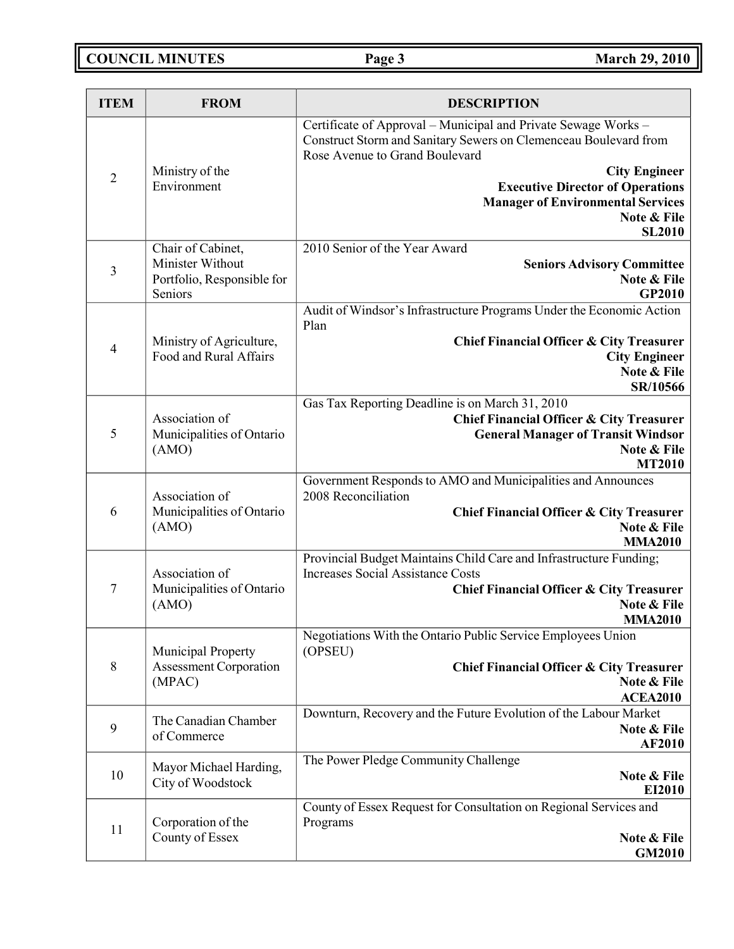**COUNCIL MINUTES Page 3 March 29, 2010**

| <b>ITEM</b>    | <b>FROM</b>                                 | <b>DESCRIPTION</b>                                                                                                                                                   |
|----------------|---------------------------------------------|----------------------------------------------------------------------------------------------------------------------------------------------------------------------|
|                |                                             | Certificate of Approval - Municipal and Private Sewage Works -<br>Construct Storm and Sanitary Sewers on Clemenceau Boulevard from<br>Rose Avenue to Grand Boulevard |
| $\overline{2}$ | Ministry of the<br>Environment              | <b>City Engineer</b><br><b>Executive Director of Operations</b>                                                                                                      |
|                |                                             | <b>Manager of Environmental Services</b>                                                                                                                             |
|                |                                             | Note & File<br><b>SL2010</b>                                                                                                                                         |
|                | Chair of Cabinet,                           | 2010 Senior of the Year Award                                                                                                                                        |
| $\overline{3}$ | Minister Without                            | <b>Seniors Advisory Committee</b>                                                                                                                                    |
|                | Portfolio, Responsible for<br>Seniors       | Note & File<br><b>GP2010</b>                                                                                                                                         |
|                |                                             | Audit of Windsor's Infrastructure Programs Under the Economic Action<br>Plan                                                                                         |
| $\overline{4}$ | Ministry of Agriculture,                    | <b>Chief Financial Officer &amp; City Treasurer</b>                                                                                                                  |
|                | Food and Rural Affairs                      | <b>City Engineer</b><br>Note & File                                                                                                                                  |
|                |                                             | SR/10566                                                                                                                                                             |
|                |                                             | Gas Tax Reporting Deadline is on March 31, 2010                                                                                                                      |
| 5              | Association of<br>Municipalities of Ontario | <b>Chief Financial Officer &amp; City Treasurer</b>                                                                                                                  |
|                | (AMO)                                       | <b>General Manager of Transit Windsor</b><br>Note & File                                                                                                             |
|                |                                             | <b>MT2010</b>                                                                                                                                                        |
|                | Association of                              | Government Responds to AMO and Municipalities and Announces<br>2008 Reconciliation                                                                                   |
| 6              | Municipalities of Ontario<br>(AMO)          | Chief Financial Officer & City Treasurer<br>Note & File                                                                                                              |
|                |                                             | <b>MMA2010</b>                                                                                                                                                       |
|                |                                             | Provincial Budget Maintains Child Care and Infrastructure Funding;                                                                                                   |
| 7              | Association of<br>Municipalities of Ontario | <b>Increases Social Assistance Costs</b><br><b>Chief Financial Officer &amp; City Treasurer</b>                                                                      |
|                | (AMO)                                       | Note & File                                                                                                                                                          |
|                |                                             | <b>MMA2010</b>                                                                                                                                                       |
|                | Municipal Property                          | Negotiations With the Ontario Public Service Employees Union<br>(OPSEU)                                                                                              |
| $\,8\,$        | <b>Assessment Corporation</b><br>(MPAC)     | <b>Chief Financial Officer &amp; City Treasurer</b><br>Note & File                                                                                                   |
|                |                                             | <b>ACEA2010</b>                                                                                                                                                      |
|                | The Canadian Chamber                        | Downturn, Recovery and the Future Evolution of the Labour Market                                                                                                     |
| 9              | of Commerce                                 | Note & File<br><b>AF2010</b>                                                                                                                                         |
|                |                                             | The Power Pledge Community Challenge                                                                                                                                 |
| 10             | Mayor Michael Harding,<br>City of Woodstock | Note & File                                                                                                                                                          |
|                |                                             | EI2010<br>County of Essex Request for Consultation on Regional Services and                                                                                          |
|                | Corporation of the                          | Programs                                                                                                                                                             |
| 11             | County of Essex                             | Note & File                                                                                                                                                          |
|                |                                             | <b>GM2010</b>                                                                                                                                                        |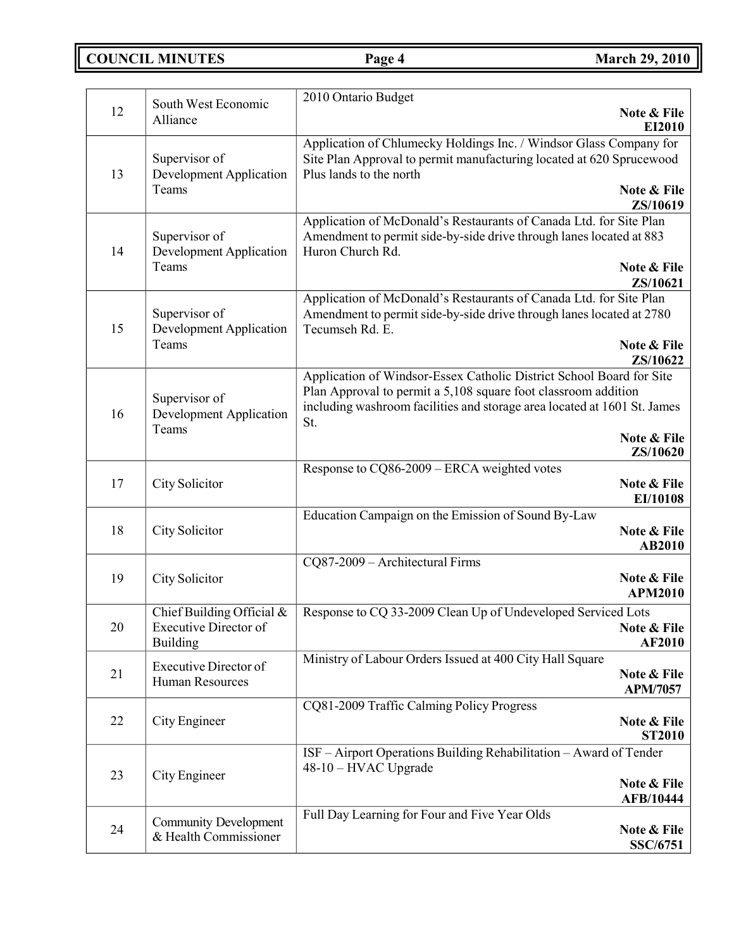**COUNCIL MINUTES Page 4 March 29, 2010**

| 12<br>Note & File<br>Alliance<br>EI2010<br>Application of Chlumecky Holdings Inc. / Windsor Glass Company for<br>Site Plan Approval to permit manufacturing located at 620 Sprucewood<br>Supervisor of<br><b>Development Application</b><br>13<br>Plus lands to the north<br>Teams<br>Note & File<br><b>ZS/10619</b><br>Application of McDonald's Restaurants of Canada Ltd. for Site Plan<br>Supervisor of<br>Amendment to permit side-by-side drive through lanes located at 883<br>14<br><b>Development Application</b><br>Huron Church Rd.<br>Teams<br>Note & File<br>ZS/10621<br>Application of McDonald's Restaurants of Canada Ltd. for Site Plan<br>Supervisor of<br>Amendment to permit side-by-side drive through lanes located at 2780<br><b>Development Application</b><br>15<br>Tecumseh Rd. E.<br>Teams<br>Note & File<br>ZS/10622<br>Application of Windsor-Essex Catholic District School Board for Site<br>Plan Approval to permit a 5,108 square foot classroom addition<br>Supervisor of<br>including washroom facilities and storage area located at 1601 St. James<br><b>Development Application</b><br>16<br>St.<br>Teams<br>Note & File<br>ZS/10620<br>Response to CQ86-2009 – ERCA weighted votes<br>17<br>City Solicitor<br>Note & File<br>EI/10108<br>Education Campaign on the Emission of Sound By-Law<br>18<br><b>City Solicitor</b><br>Note & File<br>AB2010<br>CQ87-2009 - Architectural Firms<br>Note & File<br>19<br>City Solicitor<br><b>APM2010</b><br>Response to CQ 33-2009 Clean Up of Undeveloped Serviced Lots<br>Chief Building Official &<br>$20\,$<br><b>Executive Director of</b><br>Note & File<br><b>AF2010</b><br><b>Building</b><br>Ministry of Labour Orders Issued at 400 City Hall Square<br><b>Executive Director of</b><br>21<br>Note & File<br>Human Resources<br><b>APM/7057</b><br>CQ81-2009 Traffic Calming Policy Progress<br>22<br>City Engineer<br>Note & File<br><b>ST2010</b><br>ISF - Airport Operations Building Rehabilitation - Award of Tender<br>48-10 - HVAC Upgrade<br>City Engineer<br>23<br>Note & File<br><b>AFB/10444</b><br>Full Day Learning for Four and Five Year Olds<br><b>Community Development</b><br>24<br>Note & File<br>& Health Commissioner<br>SSC/6751 | South West Economic | 2010 Ontario Budget |
|------------------------------------------------------------------------------------------------------------------------------------------------------------------------------------------------------------------------------------------------------------------------------------------------------------------------------------------------------------------------------------------------------------------------------------------------------------------------------------------------------------------------------------------------------------------------------------------------------------------------------------------------------------------------------------------------------------------------------------------------------------------------------------------------------------------------------------------------------------------------------------------------------------------------------------------------------------------------------------------------------------------------------------------------------------------------------------------------------------------------------------------------------------------------------------------------------------------------------------------------------------------------------------------------------------------------------------------------------------------------------------------------------------------------------------------------------------------------------------------------------------------------------------------------------------------------------------------------------------------------------------------------------------------------------------------------------------------------------------------------------------------------------------------------------------------------------------------------------------------------------------------------------------------------------------------------------------------------------------------------------------------------------------------------------------------------------------------------------------------------------------------------------------------------------------------------------------------------------------------------|---------------------|---------------------|
|                                                                                                                                                                                                                                                                                                                                                                                                                                                                                                                                                                                                                                                                                                                                                                                                                                                                                                                                                                                                                                                                                                                                                                                                                                                                                                                                                                                                                                                                                                                                                                                                                                                                                                                                                                                                                                                                                                                                                                                                                                                                                                                                                                                                                                                |                     |                     |
|                                                                                                                                                                                                                                                                                                                                                                                                                                                                                                                                                                                                                                                                                                                                                                                                                                                                                                                                                                                                                                                                                                                                                                                                                                                                                                                                                                                                                                                                                                                                                                                                                                                                                                                                                                                                                                                                                                                                                                                                                                                                                                                                                                                                                                                |                     |                     |
|                                                                                                                                                                                                                                                                                                                                                                                                                                                                                                                                                                                                                                                                                                                                                                                                                                                                                                                                                                                                                                                                                                                                                                                                                                                                                                                                                                                                                                                                                                                                                                                                                                                                                                                                                                                                                                                                                                                                                                                                                                                                                                                                                                                                                                                |                     |                     |
|                                                                                                                                                                                                                                                                                                                                                                                                                                                                                                                                                                                                                                                                                                                                                                                                                                                                                                                                                                                                                                                                                                                                                                                                                                                                                                                                                                                                                                                                                                                                                                                                                                                                                                                                                                                                                                                                                                                                                                                                                                                                                                                                                                                                                                                |                     |                     |
|                                                                                                                                                                                                                                                                                                                                                                                                                                                                                                                                                                                                                                                                                                                                                                                                                                                                                                                                                                                                                                                                                                                                                                                                                                                                                                                                                                                                                                                                                                                                                                                                                                                                                                                                                                                                                                                                                                                                                                                                                                                                                                                                                                                                                                                |                     |                     |
|                                                                                                                                                                                                                                                                                                                                                                                                                                                                                                                                                                                                                                                                                                                                                                                                                                                                                                                                                                                                                                                                                                                                                                                                                                                                                                                                                                                                                                                                                                                                                                                                                                                                                                                                                                                                                                                                                                                                                                                                                                                                                                                                                                                                                                                |                     |                     |
|                                                                                                                                                                                                                                                                                                                                                                                                                                                                                                                                                                                                                                                                                                                                                                                                                                                                                                                                                                                                                                                                                                                                                                                                                                                                                                                                                                                                                                                                                                                                                                                                                                                                                                                                                                                                                                                                                                                                                                                                                                                                                                                                                                                                                                                |                     |                     |
|                                                                                                                                                                                                                                                                                                                                                                                                                                                                                                                                                                                                                                                                                                                                                                                                                                                                                                                                                                                                                                                                                                                                                                                                                                                                                                                                                                                                                                                                                                                                                                                                                                                                                                                                                                                                                                                                                                                                                                                                                                                                                                                                                                                                                                                |                     |                     |
|                                                                                                                                                                                                                                                                                                                                                                                                                                                                                                                                                                                                                                                                                                                                                                                                                                                                                                                                                                                                                                                                                                                                                                                                                                                                                                                                                                                                                                                                                                                                                                                                                                                                                                                                                                                                                                                                                                                                                                                                                                                                                                                                                                                                                                                |                     |                     |
|                                                                                                                                                                                                                                                                                                                                                                                                                                                                                                                                                                                                                                                                                                                                                                                                                                                                                                                                                                                                                                                                                                                                                                                                                                                                                                                                                                                                                                                                                                                                                                                                                                                                                                                                                                                                                                                                                                                                                                                                                                                                                                                                                                                                                                                |                     |                     |
|                                                                                                                                                                                                                                                                                                                                                                                                                                                                                                                                                                                                                                                                                                                                                                                                                                                                                                                                                                                                                                                                                                                                                                                                                                                                                                                                                                                                                                                                                                                                                                                                                                                                                                                                                                                                                                                                                                                                                                                                                                                                                                                                                                                                                                                |                     |                     |
|                                                                                                                                                                                                                                                                                                                                                                                                                                                                                                                                                                                                                                                                                                                                                                                                                                                                                                                                                                                                                                                                                                                                                                                                                                                                                                                                                                                                                                                                                                                                                                                                                                                                                                                                                                                                                                                                                                                                                                                                                                                                                                                                                                                                                                                |                     |                     |
|                                                                                                                                                                                                                                                                                                                                                                                                                                                                                                                                                                                                                                                                                                                                                                                                                                                                                                                                                                                                                                                                                                                                                                                                                                                                                                                                                                                                                                                                                                                                                                                                                                                                                                                                                                                                                                                                                                                                                                                                                                                                                                                                                                                                                                                |                     |                     |
|                                                                                                                                                                                                                                                                                                                                                                                                                                                                                                                                                                                                                                                                                                                                                                                                                                                                                                                                                                                                                                                                                                                                                                                                                                                                                                                                                                                                                                                                                                                                                                                                                                                                                                                                                                                                                                                                                                                                                                                                                                                                                                                                                                                                                                                |                     |                     |
|                                                                                                                                                                                                                                                                                                                                                                                                                                                                                                                                                                                                                                                                                                                                                                                                                                                                                                                                                                                                                                                                                                                                                                                                                                                                                                                                                                                                                                                                                                                                                                                                                                                                                                                                                                                                                                                                                                                                                                                                                                                                                                                                                                                                                                                |                     |                     |
|                                                                                                                                                                                                                                                                                                                                                                                                                                                                                                                                                                                                                                                                                                                                                                                                                                                                                                                                                                                                                                                                                                                                                                                                                                                                                                                                                                                                                                                                                                                                                                                                                                                                                                                                                                                                                                                                                                                                                                                                                                                                                                                                                                                                                                                |                     |                     |
|                                                                                                                                                                                                                                                                                                                                                                                                                                                                                                                                                                                                                                                                                                                                                                                                                                                                                                                                                                                                                                                                                                                                                                                                                                                                                                                                                                                                                                                                                                                                                                                                                                                                                                                                                                                                                                                                                                                                                                                                                                                                                                                                                                                                                                                |                     |                     |
|                                                                                                                                                                                                                                                                                                                                                                                                                                                                                                                                                                                                                                                                                                                                                                                                                                                                                                                                                                                                                                                                                                                                                                                                                                                                                                                                                                                                                                                                                                                                                                                                                                                                                                                                                                                                                                                                                                                                                                                                                                                                                                                                                                                                                                                |                     |                     |
|                                                                                                                                                                                                                                                                                                                                                                                                                                                                                                                                                                                                                                                                                                                                                                                                                                                                                                                                                                                                                                                                                                                                                                                                                                                                                                                                                                                                                                                                                                                                                                                                                                                                                                                                                                                                                                                                                                                                                                                                                                                                                                                                                                                                                                                |                     |                     |
|                                                                                                                                                                                                                                                                                                                                                                                                                                                                                                                                                                                                                                                                                                                                                                                                                                                                                                                                                                                                                                                                                                                                                                                                                                                                                                                                                                                                                                                                                                                                                                                                                                                                                                                                                                                                                                                                                                                                                                                                                                                                                                                                                                                                                                                |                     |                     |
|                                                                                                                                                                                                                                                                                                                                                                                                                                                                                                                                                                                                                                                                                                                                                                                                                                                                                                                                                                                                                                                                                                                                                                                                                                                                                                                                                                                                                                                                                                                                                                                                                                                                                                                                                                                                                                                                                                                                                                                                                                                                                                                                                                                                                                                |                     |                     |
|                                                                                                                                                                                                                                                                                                                                                                                                                                                                                                                                                                                                                                                                                                                                                                                                                                                                                                                                                                                                                                                                                                                                                                                                                                                                                                                                                                                                                                                                                                                                                                                                                                                                                                                                                                                                                                                                                                                                                                                                                                                                                                                                                                                                                                                |                     |                     |
|                                                                                                                                                                                                                                                                                                                                                                                                                                                                                                                                                                                                                                                                                                                                                                                                                                                                                                                                                                                                                                                                                                                                                                                                                                                                                                                                                                                                                                                                                                                                                                                                                                                                                                                                                                                                                                                                                                                                                                                                                                                                                                                                                                                                                                                |                     |                     |
|                                                                                                                                                                                                                                                                                                                                                                                                                                                                                                                                                                                                                                                                                                                                                                                                                                                                                                                                                                                                                                                                                                                                                                                                                                                                                                                                                                                                                                                                                                                                                                                                                                                                                                                                                                                                                                                                                                                                                                                                                                                                                                                                                                                                                                                |                     |                     |
|                                                                                                                                                                                                                                                                                                                                                                                                                                                                                                                                                                                                                                                                                                                                                                                                                                                                                                                                                                                                                                                                                                                                                                                                                                                                                                                                                                                                                                                                                                                                                                                                                                                                                                                                                                                                                                                                                                                                                                                                                                                                                                                                                                                                                                                |                     |                     |
|                                                                                                                                                                                                                                                                                                                                                                                                                                                                                                                                                                                                                                                                                                                                                                                                                                                                                                                                                                                                                                                                                                                                                                                                                                                                                                                                                                                                                                                                                                                                                                                                                                                                                                                                                                                                                                                                                                                                                                                                                                                                                                                                                                                                                                                |                     |                     |
|                                                                                                                                                                                                                                                                                                                                                                                                                                                                                                                                                                                                                                                                                                                                                                                                                                                                                                                                                                                                                                                                                                                                                                                                                                                                                                                                                                                                                                                                                                                                                                                                                                                                                                                                                                                                                                                                                                                                                                                                                                                                                                                                                                                                                                                |                     |                     |
|                                                                                                                                                                                                                                                                                                                                                                                                                                                                                                                                                                                                                                                                                                                                                                                                                                                                                                                                                                                                                                                                                                                                                                                                                                                                                                                                                                                                                                                                                                                                                                                                                                                                                                                                                                                                                                                                                                                                                                                                                                                                                                                                                                                                                                                |                     |                     |
|                                                                                                                                                                                                                                                                                                                                                                                                                                                                                                                                                                                                                                                                                                                                                                                                                                                                                                                                                                                                                                                                                                                                                                                                                                                                                                                                                                                                                                                                                                                                                                                                                                                                                                                                                                                                                                                                                                                                                                                                                                                                                                                                                                                                                                                |                     |                     |
|                                                                                                                                                                                                                                                                                                                                                                                                                                                                                                                                                                                                                                                                                                                                                                                                                                                                                                                                                                                                                                                                                                                                                                                                                                                                                                                                                                                                                                                                                                                                                                                                                                                                                                                                                                                                                                                                                                                                                                                                                                                                                                                                                                                                                                                |                     |                     |
|                                                                                                                                                                                                                                                                                                                                                                                                                                                                                                                                                                                                                                                                                                                                                                                                                                                                                                                                                                                                                                                                                                                                                                                                                                                                                                                                                                                                                                                                                                                                                                                                                                                                                                                                                                                                                                                                                                                                                                                                                                                                                                                                                                                                                                                |                     |                     |
|                                                                                                                                                                                                                                                                                                                                                                                                                                                                                                                                                                                                                                                                                                                                                                                                                                                                                                                                                                                                                                                                                                                                                                                                                                                                                                                                                                                                                                                                                                                                                                                                                                                                                                                                                                                                                                                                                                                                                                                                                                                                                                                                                                                                                                                |                     |                     |
|                                                                                                                                                                                                                                                                                                                                                                                                                                                                                                                                                                                                                                                                                                                                                                                                                                                                                                                                                                                                                                                                                                                                                                                                                                                                                                                                                                                                                                                                                                                                                                                                                                                                                                                                                                                                                                                                                                                                                                                                                                                                                                                                                                                                                                                |                     |                     |
|                                                                                                                                                                                                                                                                                                                                                                                                                                                                                                                                                                                                                                                                                                                                                                                                                                                                                                                                                                                                                                                                                                                                                                                                                                                                                                                                                                                                                                                                                                                                                                                                                                                                                                                                                                                                                                                                                                                                                                                                                                                                                                                                                                                                                                                |                     |                     |
|                                                                                                                                                                                                                                                                                                                                                                                                                                                                                                                                                                                                                                                                                                                                                                                                                                                                                                                                                                                                                                                                                                                                                                                                                                                                                                                                                                                                                                                                                                                                                                                                                                                                                                                                                                                                                                                                                                                                                                                                                                                                                                                                                                                                                                                |                     |                     |
|                                                                                                                                                                                                                                                                                                                                                                                                                                                                                                                                                                                                                                                                                                                                                                                                                                                                                                                                                                                                                                                                                                                                                                                                                                                                                                                                                                                                                                                                                                                                                                                                                                                                                                                                                                                                                                                                                                                                                                                                                                                                                                                                                                                                                                                |                     |                     |
|                                                                                                                                                                                                                                                                                                                                                                                                                                                                                                                                                                                                                                                                                                                                                                                                                                                                                                                                                                                                                                                                                                                                                                                                                                                                                                                                                                                                                                                                                                                                                                                                                                                                                                                                                                                                                                                                                                                                                                                                                                                                                                                                                                                                                                                |                     |                     |
|                                                                                                                                                                                                                                                                                                                                                                                                                                                                                                                                                                                                                                                                                                                                                                                                                                                                                                                                                                                                                                                                                                                                                                                                                                                                                                                                                                                                                                                                                                                                                                                                                                                                                                                                                                                                                                                                                                                                                                                                                                                                                                                                                                                                                                                |                     |                     |
|                                                                                                                                                                                                                                                                                                                                                                                                                                                                                                                                                                                                                                                                                                                                                                                                                                                                                                                                                                                                                                                                                                                                                                                                                                                                                                                                                                                                                                                                                                                                                                                                                                                                                                                                                                                                                                                                                                                                                                                                                                                                                                                                                                                                                                                |                     |                     |
|                                                                                                                                                                                                                                                                                                                                                                                                                                                                                                                                                                                                                                                                                                                                                                                                                                                                                                                                                                                                                                                                                                                                                                                                                                                                                                                                                                                                                                                                                                                                                                                                                                                                                                                                                                                                                                                                                                                                                                                                                                                                                                                                                                                                                                                |                     |                     |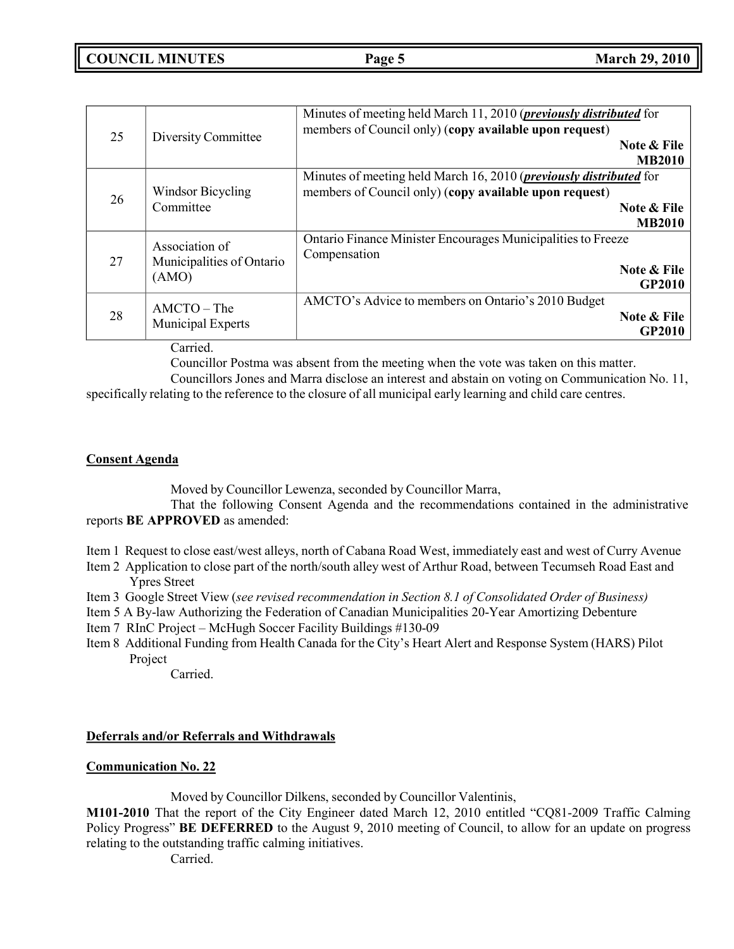| 25 | Diversity Committee                         | Minutes of meeting held March 11, 2010 ( <i>previously distributed</i> for<br>members of Council only) (copy available upon request) |                              |
|----|---------------------------------------------|--------------------------------------------------------------------------------------------------------------------------------------|------------------------------|
|    |                                             |                                                                                                                                      | Note & File<br><b>MB2010</b> |
| 26 | Windsor Bicycling                           | Minutes of meeting held March 16, 2010 ( <i>previously distributed</i> for<br>members of Council only) (copy available upon request) |                              |
|    | Committee                                   |                                                                                                                                      | Note & File<br><b>MB2010</b> |
| 27 | Association of<br>Municipalities of Ontario | Ontario Finance Minister Encourages Municipalities to Freeze<br>Compensation                                                         |                              |
|    | (AMO)                                       |                                                                                                                                      | Note & File<br><b>GP2010</b> |
| 28 | $AMCTO$ – The<br>Municipal Experts          | AMCTO's Advice to members on Ontario's 2010 Budget                                                                                   | Note & File<br>GP2010        |

Carried.

Councillor Postma was absent from the meeting when the vote was taken on this matter.

Councillors Jones and Marra disclose an interest and abstain on voting on Communication No. 11, specifically relating to the reference to the closure of all municipal early learning and child care centres.

## **Consent Agenda**

Moved by Councillor Lewenza, seconded by Councillor Marra,

That the following Consent Agenda and the recommendations contained in the administrative reports **BE APPROVED** as amended:

- Item 1 Request to close east/west alleys, north of Cabana Road West, immediately east and west of Curry Avenue
- Item 2 Application to close part of the north/south alley west of Arthur Road, between Tecumseh Road East and Ypres Street
- Item 3 Google Street View (*see revised recommendation in Section 8.1 of Consolidated Order of Business)*
- Item 5 A By-law Authorizing the Federation of Canadian Municipalities 20-Year Amortizing Debenture
- Item 7 RInC Project McHugh Soccer Facility Buildings #130-09
- Item 8 Additional Funding from Health Canada for the City's Heart Alert and Response System (HARS) Pilot Project

Carried.

## **Deferrals and/or Referrals and Withdrawals**

## **Communication No. 22**

Moved by Councillor Dilkens, seconded by Councillor Valentinis,

**M101-2010** That the report of the City Engineer dated March 12, 2010 entitled "CQ81-2009 Traffic Calming Policy Progress" **BE DEFERRED** to the August 9, 2010 meeting of Council, to allow for an update on progress relating to the outstanding traffic calming initiatives.

Carried.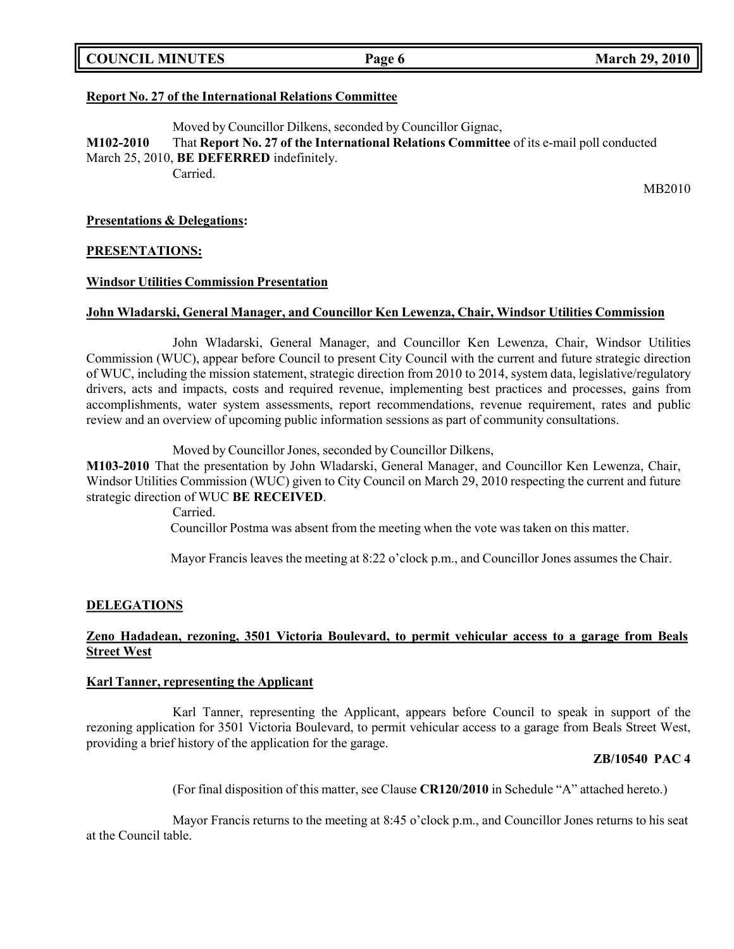| <b>COUNCIL MINUTES</b> |  |  |
|------------------------|--|--|
|------------------------|--|--|

## **Report No. 27 of the International Relations Committee**

Moved by Councillor Dilkens, seconded by Councillor Gignac, **M102-2010** That **Report No. 27 of the International Relations Committee** of its e-mail poll conducted March 25, 2010, **BE DEFERRED** indefinitely. Carried.

MB2010

### **Presentations & Delegations:**

### **PRESENTATIONS:**

### **Windsor Utilities Commission Presentation**

### **John Wladarski, General Manager, and Councillor Ken Lewenza, Chair, Windsor Utilities Commission**

John Wladarski, General Manager, and Councillor Ken Lewenza, Chair, Windsor Utilities Commission (WUC), appear before Council to present City Council with the current and future strategic direction of WUC, including the mission statement, strategic direction from 2010 to 2014, system data, legislative/regulatory drivers, acts and impacts, costs and required revenue, implementing best practices and processes, gains from accomplishments, water system assessments, report recommendations, revenue requirement, rates and public review and an overview of upcoming public information sessions as part of community consultations.

Moved by Councillor Jones, seconded by Councillor Dilkens,

**M103-2010** That the presentation by John Wladarski, General Manager, and Councillor Ken Lewenza, Chair, Windsor Utilities Commission (WUC) given to City Council on March 29, 2010 respecting the current and future strategic direction of WUC **BE RECEIVED**.

> Carried. Councillor Postma was absent from the meeting when the vote was taken on this matter.

Mayor Francis leaves the meeting at 8:22 o'clock p.m., and Councillor Jones assumes the Chair.

## **DELEGATIONS**

## **Zeno Hadadean, rezoning, 3501 Victoria Boulevard, to permit vehicular access to a garage from Beals Street West**

#### **Karl Tanner, representing the Applicant**

Karl Tanner, representing the Applicant, appears before Council to speak in support of the rezoning application for 3501 Victoria Boulevard, to permit vehicular access to a garage from Beals Street West, providing a brief history of the application for the garage.

#### **ZB/10540 PAC 4**

(For final disposition of this matter, see Clause **CR120/2010** in Schedule "A" attached hereto.)

Mayor Francis returns to the meeting at 8:45 o'clock p.m., and Councillor Jones returns to his seat at the Council table.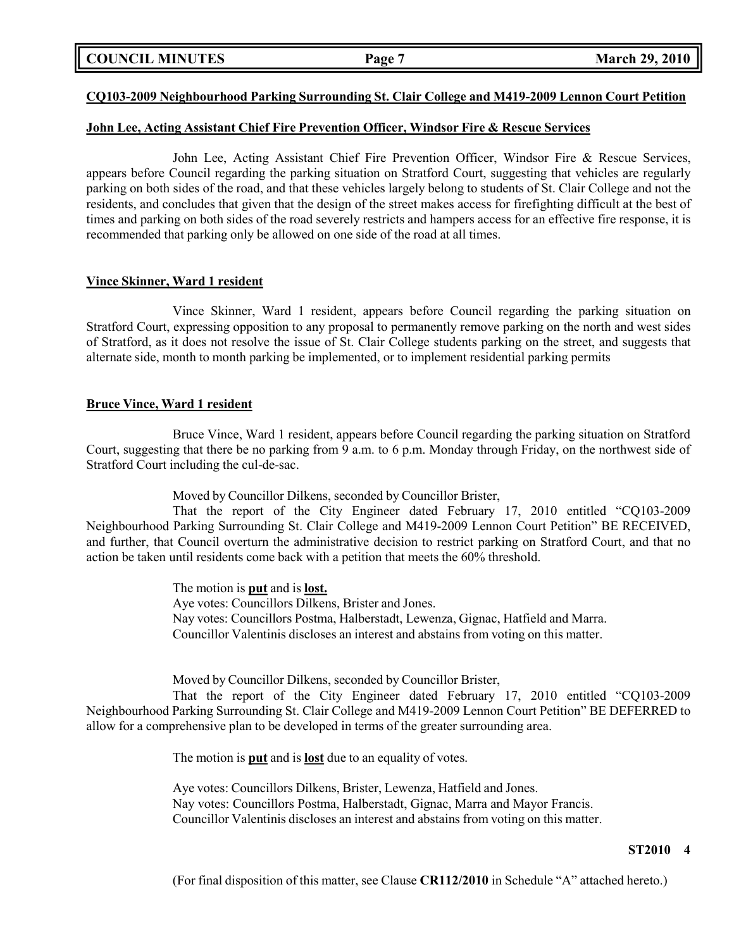## **COUNCIL MINUTES Page 7 March 29, 2010**

### **CQ103-2009 Neighbourhood Parking Surrounding St. Clair College and M419-2009 Lennon Court Petition**

### **John Lee, Acting Assistant Chief Fire Prevention Officer, Windsor Fire & Rescue Services**

John Lee, Acting Assistant Chief Fire Prevention Officer, Windsor Fire & Rescue Services, appears before Council regarding the parking situation on Stratford Court, suggesting that vehicles are regularly parking on both sides of the road, and that these vehicles largely belong to students of St. Clair College and not the residents, and concludes that given that the design of the street makes access for firefighting difficult at the best of times and parking on both sides of the road severely restricts and hampers access for an effective fire response, it is recommended that parking only be allowed on one side of the road at all times.

#### **Vince Skinner, Ward 1 resident**

Vince Skinner, Ward 1 resident, appears before Council regarding the parking situation on Stratford Court, expressing opposition to any proposal to permanently remove parking on the north and west sides of Stratford, as it does not resolve the issue of St. Clair College students parking on the street, and suggests that alternate side, month to month parking be implemented, or to implement residential parking permits

#### **Bruce Vince, Ward 1 resident**

Bruce Vince, Ward 1 resident, appears before Council regarding the parking situation on Stratford Court, suggesting that there be no parking from 9 a.m. to 6 p.m. Monday through Friday, on the northwest side of Stratford Court including the cul-de-sac.

Moved by Councillor Dilkens, seconded by Councillor Brister,

That the report of the City Engineer dated February 17, 2010 entitled "CQ103-2009 Neighbourhood Parking Surrounding St. Clair College and M419-2009 Lennon Court Petition" BE RECEIVED, and further, that Council overturn the administrative decision to restrict parking on Stratford Court, and that no action be taken until residents come back with a petition that meets the 60% threshold.

> The motion is **put** and is **lost.** Aye votes: Councillors Dilkens, Brister and Jones. Nay votes: Councillors Postma, Halberstadt, Lewenza, Gignac, Hatfield and Marra. Councillor Valentinis discloses an interest and abstains from voting on this matter.

Moved by Councillor Dilkens, seconded by Councillor Brister,

That the report of the City Engineer dated February 17, 2010 entitled "CQ103-2009 Neighbourhood Parking Surrounding St. Clair College and M419-2009 Lennon Court Petition" BE DEFERRED to allow for a comprehensive plan to be developed in terms of the greater surrounding area.

The motion is **put** and is **lost** due to an equality of votes.

Aye votes: Councillors Dilkens, Brister, Lewenza, Hatfield and Jones. Nay votes: Councillors Postma, Halberstadt, Gignac, Marra and Mayor Francis. Councillor Valentinis discloses an interest and abstains from voting on this matter.

#### **ST2010 4**

(For final disposition of this matter, see Clause **CR112/2010** in Schedule "A" attached hereto.)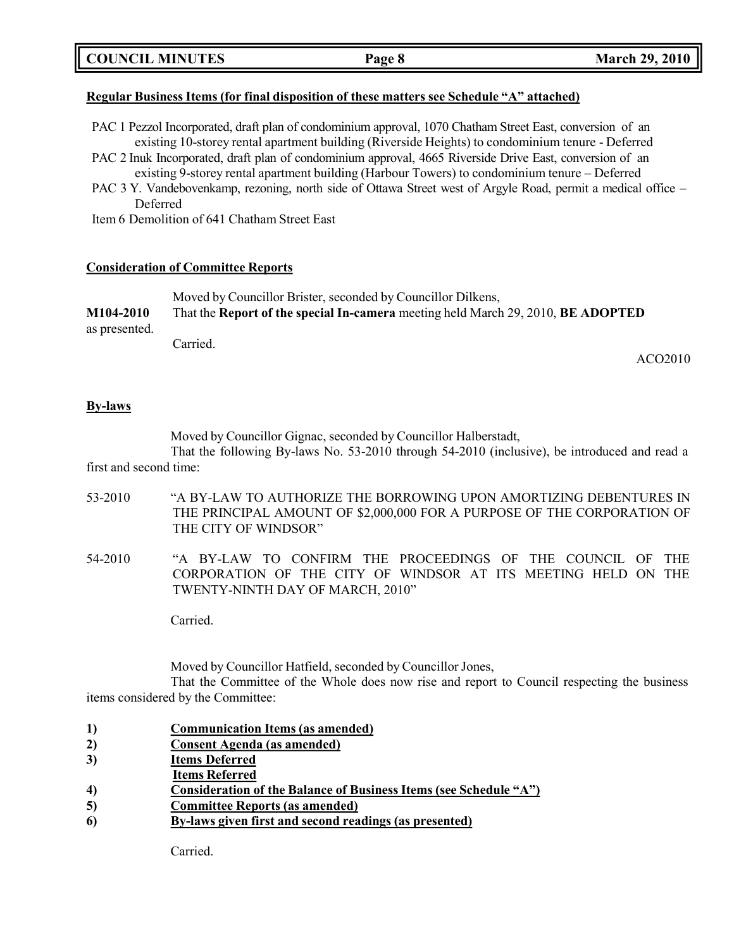## **Regular Business Items (for final disposition of these matters see Schedule "A" attached)**

- PAC 1 Pezzol Incorporated, draft plan of condominium approval, 1070 Chatham Street East, conversion of an existing 10-storey rental apartment building (Riverside Heights) to condominium tenure - Deferred
- PAC 2 Inuk Incorporated, draft plan of condominium approval, 4665 Riverside Drive East, conversion of an existing 9-storey rental apartment building (Harbour Towers) to condominium tenure – Deferred
- PAC 3 Y. Vandebovenkamp, rezoning, north side of Ottawa Street west of Argyle Road, permit a medical office Deferred

Item 6 Demolition of 641 Chatham Street East

## **Consideration of Committee Reports**

|               | Moved by Councillor Brister, seconded by Councillor Dilkens,                     |  |
|---------------|----------------------------------------------------------------------------------|--|
| M104-2010     | That the Report of the special In-camera meeting held March 29, 2010, BE ADOPTED |  |
| as presented. |                                                                                  |  |
|               | Carried.                                                                         |  |

ACO2010

## **By-laws**

Moved by Councillor Gignac, seconded by Councillor Halberstadt,

That the following By-laws No. 53-2010 through 54-2010 (inclusive), be introduced and read a first and second time:

- 53-2010 "A BY-LAW TO AUTHORIZE THE BORROWING UPON AMORTIZING DEBENTURES IN THE PRINCIPAL AMOUNT OF \$2,000,000 FOR A PURPOSE OF THE CORPORATION OF THE CITY OF WINDSOR"
- 54-2010 "A BY-LAW TO CONFIRM THE PROCEEDINGS OF THE COUNCIL OF THE CORPORATION OF THE CITY OF WINDSOR AT ITS MEETING HELD ON THE TWENTY-NINTH DAY OF MARCH, 2010"

Carried.

Moved by Councillor Hatfield, seconded by Councillor Jones,

That the Committee of the Whole does now rise and report to Council respecting the business items considered by the Committee:

- **1) Communication Items (as amended)**
- **2) Consent Agenda (as amended)**
- **3) Items Deferred**
- **Items Referred**
- **4) Consideration of the Balance of Business Items (see Schedule "A")**
- **5) Committee Reports (as amended)**
- **6) By-laws given first and second readings (as presented)**

Carried.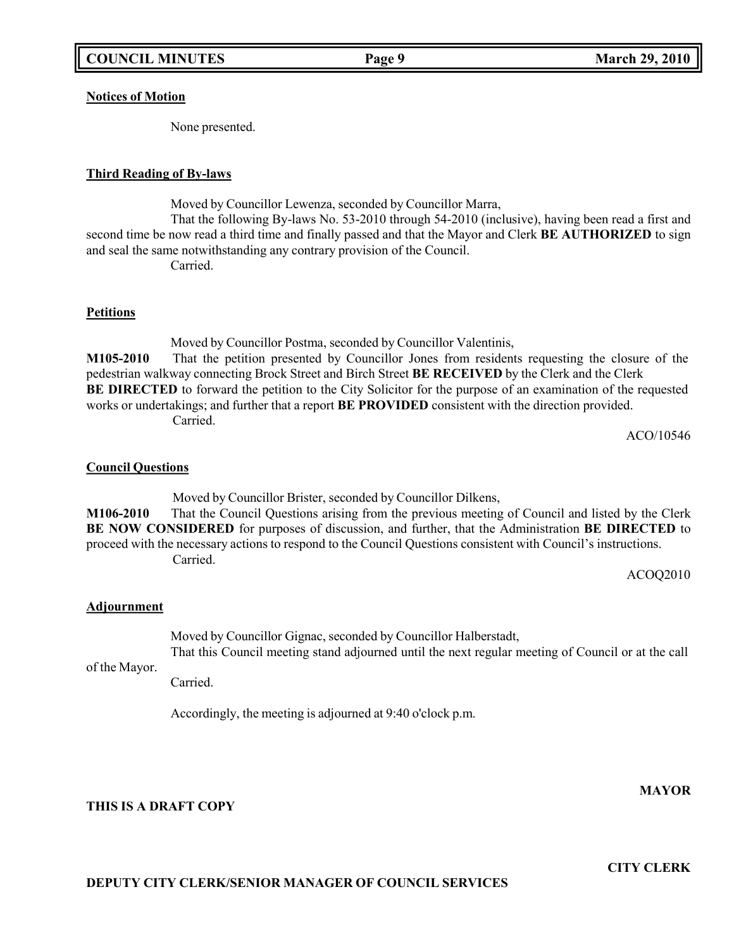### **Notices of Motion**

None presented.

### **Third Reading of By-laws**

Moved by Councillor Lewenza, seconded by Councillor Marra,

That the following By-laws No. 53-2010 through 54-2010 (inclusive), having been read a first and second time be now read a third time and finally passed and that the Mayor and Clerk **BE AUTHORIZED** to sign and seal the same notwithstanding any contrary provision of the Council. Carried.

### **Petitions**

Moved by Councillor Postma, seconded by Councillor Valentinis, **M105-2010** That the petition presented by Councillor Jones from residents requesting the closure of the pedestrian walkway connecting Brock Street and Birch Street **BE RECEIVED** by the Clerk and the Clerk **BE DIRECTED** to forward the petition to the City Solicitor for the purpose of an examination of the requested works or undertakings; and further that a report **BE PROVIDED** consistent with the direction provided. Carried.

ACO/10546

#### **Council Questions**

Moved by Councillor Brister, seconded by Councillor Dilkens, **M106-2010** That the Council Questions arising from the previous meeting of Council and listed by the Clerk **BE NOW CONSIDERED** for purposes of discussion, and further, that the Administration **BE DIRECTED** to proceed with the necessary actions to respond to the Council Questions consistent with Council's instructions. Carried.

ACOQ2010

#### **Adjournment**

Moved by Councillor Gignac, seconded by Councillor Halberstadt,

of the Mayor. That this Council meeting stand adjourned until the next regular meeting of Council or at the call

Carried.

Accordingly, the meeting is adjourned at 9:40 o'clock p.m.

## **THIS IS A DRAFT COPY**

**CITY CLERK**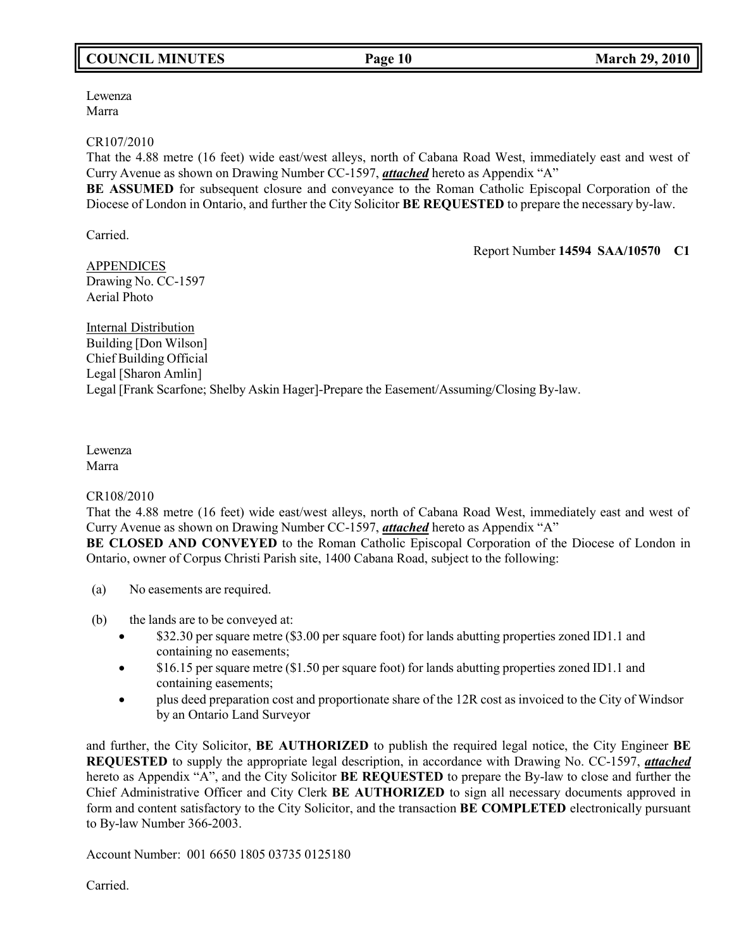# **COUNCIL MINUTES Page 10 March 29, 2010**

Lewenza Marra

CR107/2010

That the 4.88 metre (16 feet) wide east/west alleys, north of Cabana Road West, immediately east and west of Curry Avenue as shown on Drawing Number CC-1597, *attached* hereto as Appendix "A"

**BE ASSUMED** for subsequent closure and conveyance to the Roman Catholic Episcopal Corporation of the Diocese of London in Ontario, and further the City Solicitor **BE REQUESTED** to prepare the necessary by-law.

Carried.

Report Number **14594 SAA/10570 C1**

APPENDICES Drawing No. CC-1597 Aerial Photo

Internal Distribution Building [Don Wilson] Chief Building Official Legal [Sharon Amlin] Legal [Frank Scarfone; Shelby Askin Hager]-Prepare the Easement/Assuming/Closing By-law.

Lewenza Marra

CR108/2010

That the 4.88 metre (16 feet) wide east/west alleys, north of Cabana Road West, immediately east and west of Curry Avenue as shown on Drawing Number CC-1597, *attached* hereto as Appendix "A"

**BE CLOSED AND CONVEYED** to the Roman Catholic Episcopal Corporation of the Diocese of London in Ontario, owner of Corpus Christi Parish site, 1400 Cabana Road, subject to the following:

- (a) No easements are required.
- (b) the lands are to be conveyed at:
	- \$32.30 per square metre (\$3.00 per square foot) for lands abutting properties zoned ID1.1 and containing no easements;
	- \$16.15 per square metre (\$1.50 per square foot) for lands abutting properties zoned ID1.1 and containing easements;
	- plus deed preparation cost and proportionate share of the 12R cost as invoiced to the City of Windsor by an Ontario Land Surveyor

and further, the City Solicitor, **BE AUTHORIZED** to publish the required legal notice, the City Engineer **BE REQUESTED** to supply the appropriate legal description, in accordance with Drawing No. CC-1597, *attached* hereto as Appendix "A", and the City Solicitor **BE REQUESTED** to prepare the By-law to close and further the Chief Administrative Officer and City Clerk **BE AUTHORIZED** to sign all necessary documents approved in form and content satisfactory to the City Solicitor, and the transaction **BE COMPLETED** electronically pursuant to By-law Number 366-2003.

Account Number: 001 6650 1805 03735 0125180

Carried.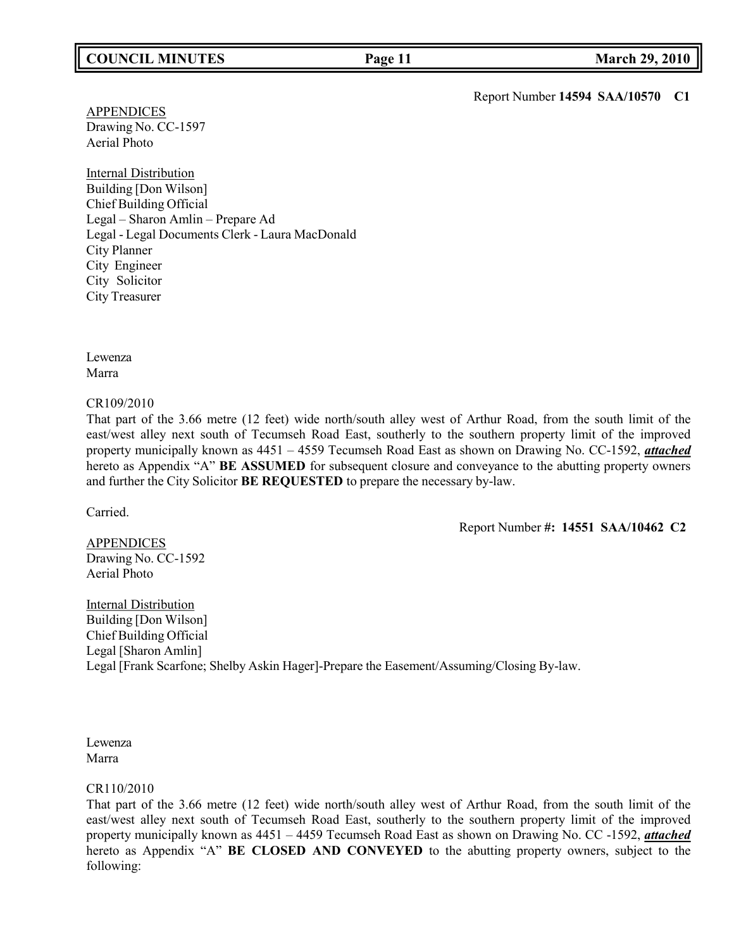## **COUNCIL MINUTES Page 11 March 29, 2010**

Report Number **14594 SAA/10570 C1**

**APPENDICES** Drawing No. CC-1597 Aerial Photo

Internal Distribution Building [Don Wilson] Chief Building Official Legal – Sharon Amlin – Prepare Ad Legal - Legal Documents Clerk - Laura MacDonald City Planner City Engineer City Solicitor City Treasurer

Lewenza Marra

#### CR109/2010

That part of the 3.66 metre (12 feet) wide north/south alley west of Arthur Road, from the south limit of the east/west alley next south of Tecumseh Road East, southerly to the southern property limit of the improved property municipally known as 4451 – 4559 Tecumseh Road East as shown on Drawing No. CC-1592, *attached* hereto as Appendix "A" **BE ASSUMED** for subsequent closure and conveyance to the abutting property owners and further the City Solicitor **BE REQUESTED** to prepare the necessary by-law.

Carried.

Report Number **#: 14551 SAA/10462 C2**

APPENDICES Drawing No. CC-1592 Aerial Photo

Internal Distribution Building [Don Wilson] Chief Building Official Legal [Sharon Amlin] Legal [Frank Scarfone; Shelby Askin Hager]-Prepare the Easement/Assuming/Closing By-law.

Lewenza Marra

#### CR110/2010

That part of the 3.66 metre (12 feet) wide north/south alley west of Arthur Road, from the south limit of the east/west alley next south of Tecumseh Road East, southerly to the southern property limit of the improved property municipally known as 4451 – 4459 Tecumseh Road East as shown on Drawing No. CC -1592, *attached* hereto as Appendix "A" **BE CLOSED AND CONVEYED** to the abutting property owners, subject to the following: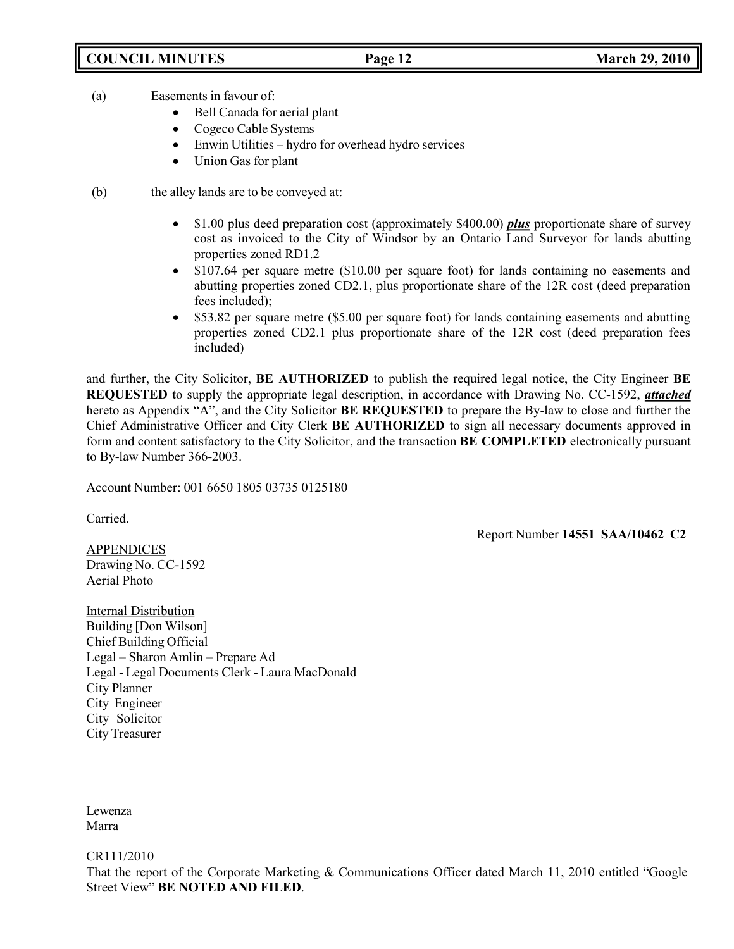## **COUNCIL MINUTES Page 12 March 29, 2010**

- (a) Easements in favour of:
	- Bell Canada for aerial plant
	- Cogeco Cable Systems
	- Enwin Utilities hydro for overhead hydro services
	- Union Gas for plant
- (b) the alley lands are to be conveyed at:
	- \$1.00 plus deed preparation cost (approximately \$400.00) *plus* proportionate share of survey cost as invoiced to the City of Windsor by an Ontario Land Surveyor for lands abutting properties zoned RD1.2
	- \$107.64 per square metre (\$10.00 per square foot) for lands containing no easements and abutting properties zoned CD2.1, plus proportionate share of the 12R cost (deed preparation fees included);
	- \$53.82 per square metre (\$5.00 per square foot) for lands containing easements and abutting properties zoned CD2.1 plus proportionate share of the 12R cost (deed preparation fees included)

and further, the City Solicitor, **BE AUTHORIZED** to publish the required legal notice, the City Engineer **BE REQUESTED** to supply the appropriate legal description, in accordance with Drawing No. CC-1592, *attached* hereto as Appendix "A", and the City Solicitor **BE REQUESTED** to prepare the By-law to close and further the Chief Administrative Officer and City Clerk **BE AUTHORIZED** to sign all necessary documents approved in form and content satisfactory to the City Solicitor, and the transaction **BE COMPLETED** electronically pursuant to By-law Number 366-2003.

Account Number: 001 6650 1805 03735 0125180

Carried.

Report Number **14551 SAA/10462 C2**

**APPENDICES** Drawing No. CC-1592 Aerial Photo

Internal Distribution Building [Don Wilson] Chief Building Official Legal – Sharon Amlin – Prepare Ad Legal - Legal Documents Clerk - Laura MacDonald City Planner City Engineer City Solicitor City Treasurer

Lewenza Marra

CR111/2010

That the report of the Corporate Marketing & Communications Officer dated March 11, 2010 entitled "Google Street View" **BE NOTED AND FILED**.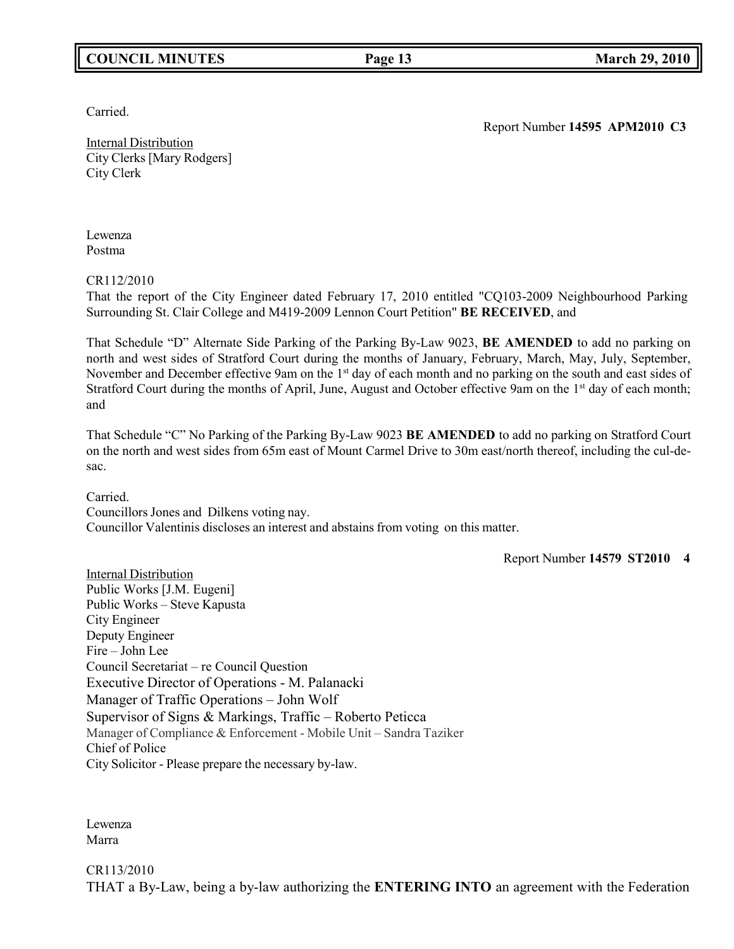## **COUNCIL MINUTES Page 13 March 29, 2010**

Carried.

Report Number **14595 APM2010 C3**

Internal Distribution City Clerks [Mary Rodgers] City Clerk

Lewenza Postma

CR112/2010

That the report of the City Engineer dated February 17, 2010 entitled "CQ103-2009 Neighbourhood Parking Surrounding St. Clair College and M419-2009 Lennon Court Petition" **BE RECEIVED**, and

That Schedule "D" Alternate Side Parking of the Parking By-Law 9023, **BE AMENDED** to add no parking on north and west sides of Stratford Court during the months of January, February, March, May, July, September, November and December effective 9am on the 1<sup>st</sup> day of each month and no parking on the south and east sides of Stratford Court during the months of April, June, August and October effective 9am on the 1<sup>st</sup> day of each month; and

That Schedule "C" No Parking of the Parking By-Law 9023 **BE AMENDED** to add no parking on Stratford Court on the north and west sides from 65m east of Mount Carmel Drive to 30m east/north thereof, including the cul-desac.

Carried.

Councillors Jones and Dilkens voting nay. Councillor Valentinis discloses an interest and abstains from voting on this matter.

Report Number **14579 ST2010 4**

Internal Distribution Public Works [J.M. Eugeni] Public Works – Steve Kapusta City Engineer Deputy Engineer Fire – John Lee Council Secretariat – re Council Question Executive Director of Operations - M. Palanacki Manager of Traffic Operations – John Wolf Supervisor of Signs & Markings, Traffic – Roberto Peticca Manager of Compliance & Enforcement - Mobile Unit – Sandra Taziker Chief of Police City Solicitor - Please prepare the necessary by-law.

Lewenza Marra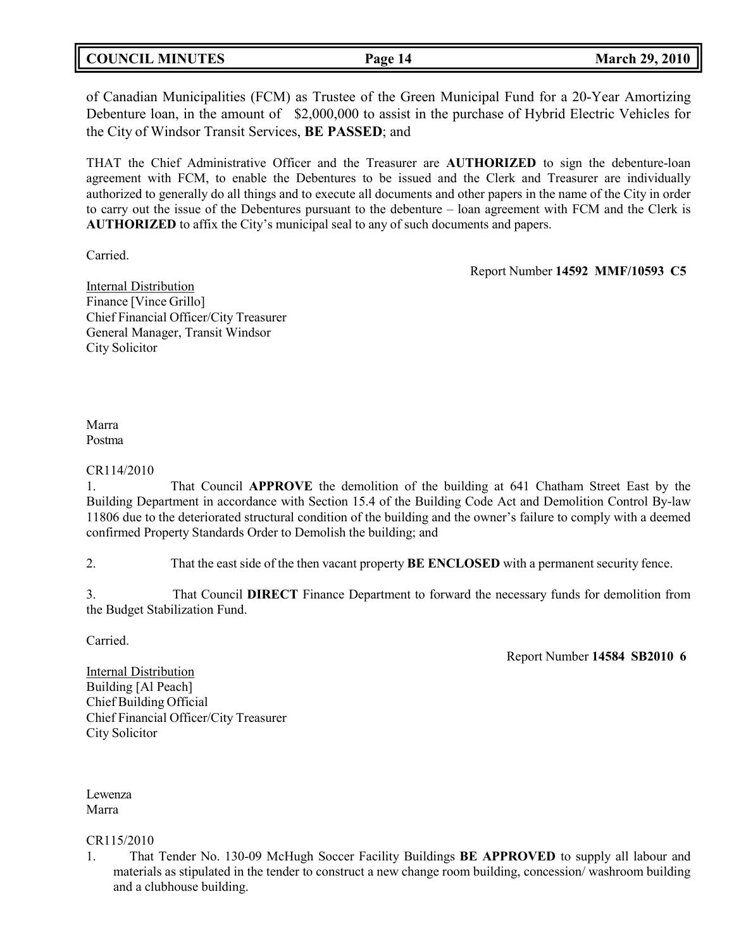| <b>COUNCIL MINUTES</b> | Page 14 | <b>March 29, 2010</b> |
|------------------------|---------|-----------------------|
|                        |         |                       |

of Canadian Municipalities (FCM) as Trustee of the Green Municipal Fund for a 20-Year Amortizing Debenture loan, in the amount of \$2,000,000 to assist in the purchase of Hybrid Electric Vehicles for the City of Windsor Transit Services, **BE PASSED**; and

THAT the Chief Administrative Officer and the Treasurer are **AUTHORIZED** to sign the debenture-loan agreement with FCM, to enable the Debentures to be issued and the Clerk and Treasurer are individually authorized to generally do all things and to execute all documents and other papers in the name of the City in order to carry out the issue of the Debentures pursuant to the debenture – loan agreement with FCM and the Clerk is **AUTHORIZED** to affix the City's municipal seal to any of such documents and papers.

Carried.

Report Number **14592 MMF/10593 C5**

Internal Distribution Finance [Vince Grillo] Chief Financial Officer/City Treasurer General Manager, Transit Windsor City Solicitor

Marra Postma

CR114/2010

1. That Council **APPROVE** the demolition of the building at 641 Chatham Street East by the Building Department in accordance with Section 15.4 of the Building Code Act and Demolition Control By-law 11806 due to the deteriorated structural condition of the building and the owner's failure to comply with a deemed confirmed Property Standards Order to Demolish the building; and

2. That the east side of the then vacant property **BE ENCLOSED** with a permanent security fence.

3. That Council **DIRECT** Finance Department to forward the necessary funds for demolition from the Budget Stabilization Fund.

Carried.

Report Number **14584 SB2010 6**

Internal Distribution Building [Al Peach] Chief Building Official Chief Financial Officer/City Treasurer City Solicitor

Lewenza Marra

CR115/2010

1. That Tender No. 130-09 McHugh Soccer Facility Buildings **BE APPROVED** to supply all labour and materials as stipulated in the tender to construct a new change room building, concession/ washroom building and a clubhouse building.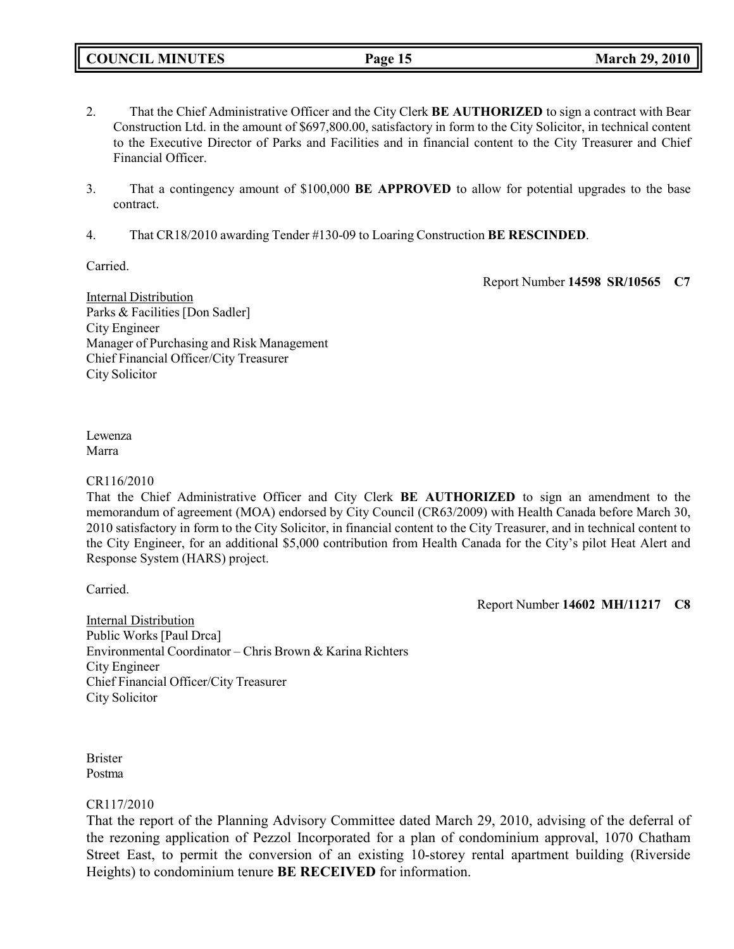- 2. That the Chief Administrative Officer and the City Clerk **BE AUTHORIZED** to sign a contract with Bear Construction Ltd. in the amount of \$697,800.00, satisfactory in form to the City Solicitor, in technical content to the Executive Director of Parks and Facilities and in financial content to the City Treasurer and Chief Financial Officer.
- 3. That a contingency amount of \$100,000 **BE APPROVED** to allow for potential upgrades to the base contract.
- 4. That CR18/2010 awarding Tender #130-09 to Loaring Construction **BE RESCINDED**.

Carried.

Report Number **14598 SR/10565 C7**

Internal Distribution Parks & Facilities [Don Sadler] City Engineer Manager of Purchasing and Risk Management Chief Financial Officer/City Treasurer City Solicitor

Lewenza Marra

## CR116/2010

That the Chief Administrative Officer and City Clerk **BE AUTHORIZED** to sign an amendment to the memorandum of agreement (MOA) endorsed by City Council (CR63/2009) with Health Canada before March 30, 2010 satisfactory in form to the City Solicitor, in financial content to the City Treasurer, and in technical content to the City Engineer, for an additional \$5,000 contribution from Health Canada for the City's pilot Heat Alert and Response System (HARS) project.

Carried.

Report Number **14602 MH/11217 C8**

Internal Distribution Public Works [Paul Drca] Environmental Coordinator – Chris Brown & Karina Richters City Engineer Chief Financial Officer/City Treasurer City Solicitor

Brister Postma

## CR117/2010

That the report of the Planning Advisory Committee dated March 29, 2010, advising of the deferral of the rezoning application of Pezzol Incorporated for a plan of condominium approval, 1070 Chatham Street East, to permit the conversion of an existing 10-storey rental apartment building (Riverside Heights) to condominium tenure **BE RECEIVED** for information.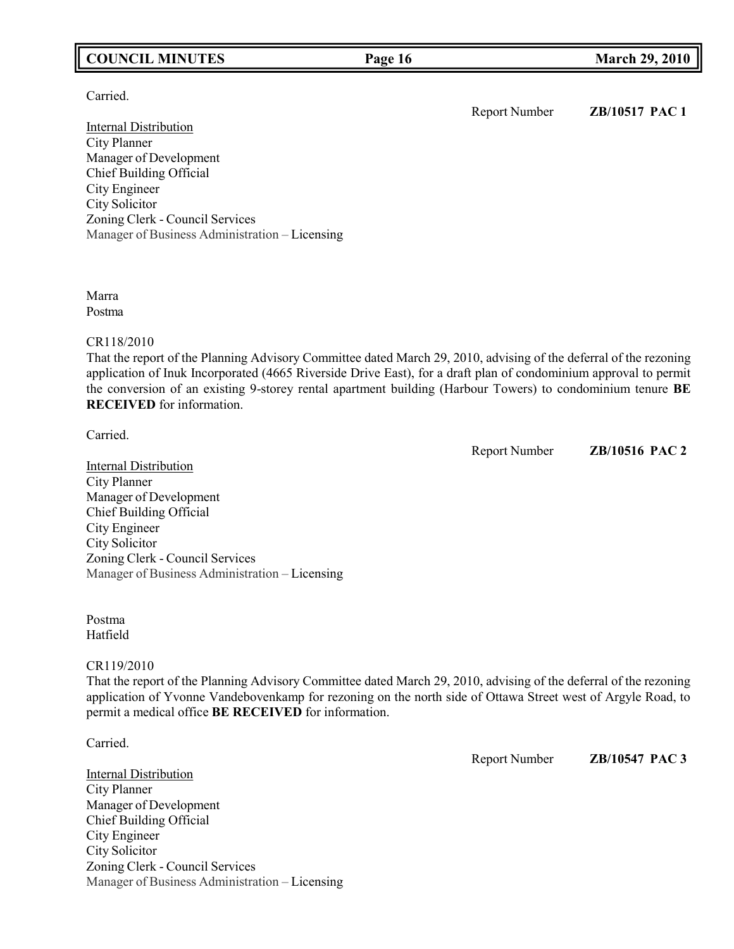## **COUNCIL MINUTES Page 16 March 29, 2010**

Carried.

Internal Distribution City Planner Manager of Development Chief Building Official City Engineer City Solicitor Zoning Clerk - Council Services Manager of Business Administration – Licensing

Marra Postma

### CR118/2010

That the report of the Planning Advisory Committee dated March 29, 2010, advising of the deferral of the rezoning application of Inuk Incorporated (4665 Riverside Drive East), for a draft plan of condominium approval to permit the conversion of an existing 9-storey rental apartment building (Harbour Towers) to condominium tenure **BE RECEIVED** for information.

Carried.

Report Number **ZB/10516 PAC 2**

**Internal Distribution** City Planner Manager of Development Chief Building Official City Engineer City Solicitor Zoning Clerk - Council Services Manager of Business Administration – Licensing

Postma Hatfield

## CR119/2010

That the report of the Planning Advisory Committee dated March 29, 2010, advising of the deferral of the rezoning application of Yvonne Vandebovenkamp for rezoning on the north side of Ottawa Street west of Argyle Road, to permit a medical office **BE RECEIVED** for information.

Carried.

Internal Distribution City Planner Manager of Development Chief Building Official City Engineer City Solicitor Zoning Clerk - Council Services Manager of Business Administration – Licensing Report Number **ZB/10547 PAC 3**

Report Number **ZB/10517 PAC 1**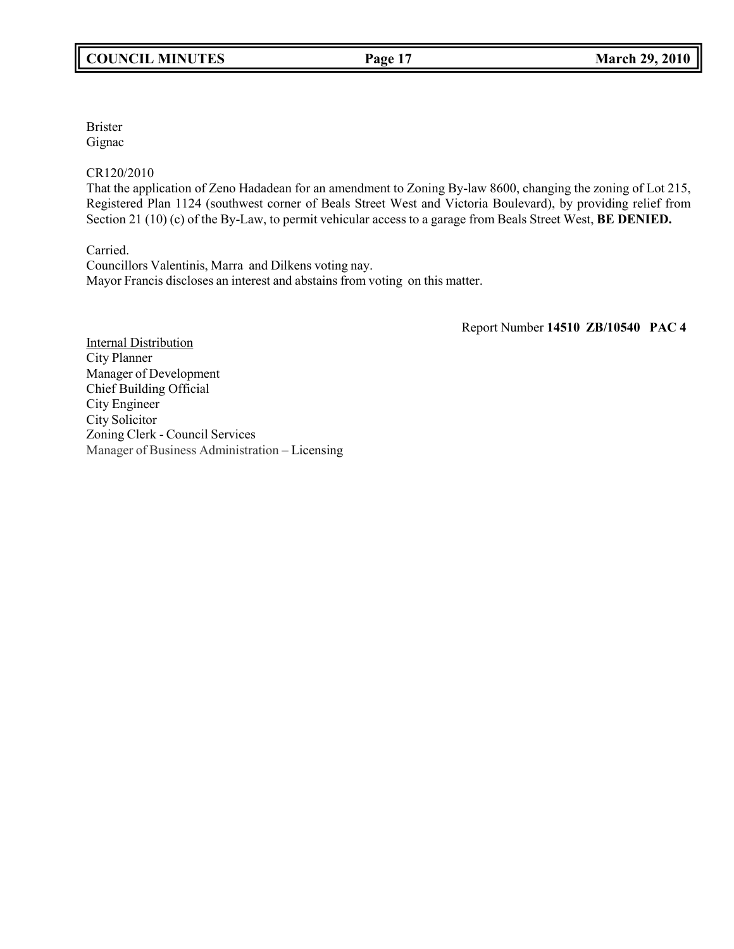Brister Gignac

CR120/2010

That the application of Zeno Hadadean for an amendment to Zoning By-law 8600, changing the zoning of Lot 215, Registered Plan 1124 (southwest corner of Beals Street West and Victoria Boulevard), by providing relief from Section 21 (10) (c) of the By-Law, to permit vehicular access to a garage from Beals Street West, **BE DENIED.**

Carried.

Councillors Valentinis, Marra and Dilkens voting nay. Mayor Francis discloses an interest and abstains from voting on this matter.

Report Number **14510 ZB/10540 PAC 4**

Internal Distribution City Planner Manager of Development Chief Building Official City Engineer City Solicitor Zoning Clerk - Council Services Manager of Business Administration – Licensing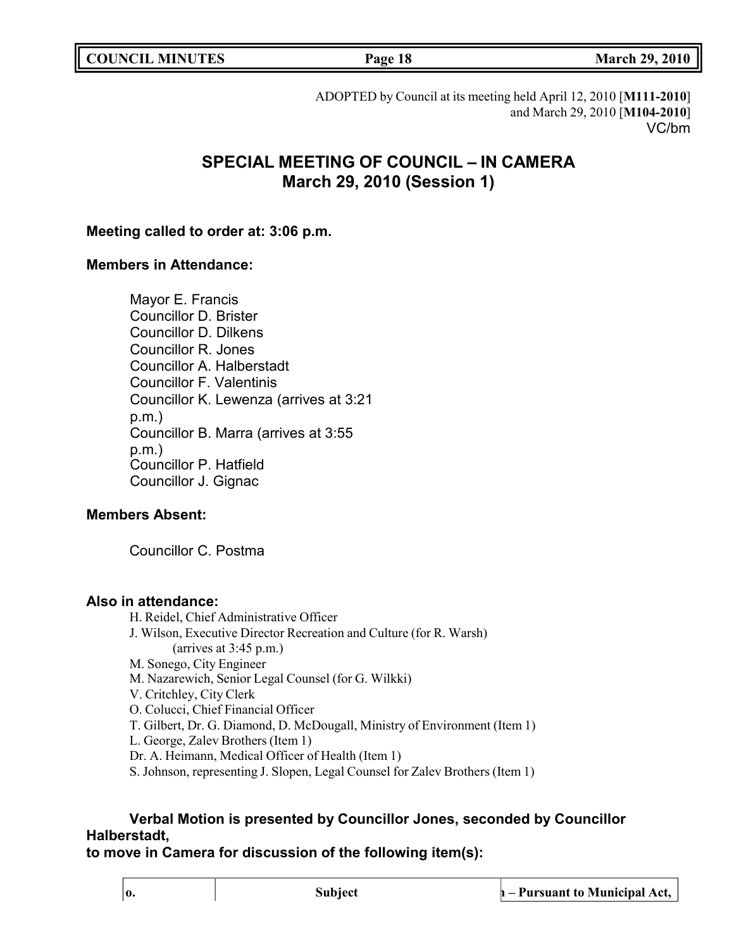|  | <b>COUNCIL MINUTES</b> |
|--|------------------------|
|--|------------------------|

**COUNCIL MINUTES Page 18 March 29, 2010**

ADOPTED by Council at its meeting held April 12, 2010 [**M111-2010**] and March 29, 2010 [**M104-2010**] VC/bm

# **SPECIAL MEETING OF COUNCIL – IN CAMERA March 29, 2010 (Session 1)**

## **Meeting called to order at: 3:06 p.m.**

## **Members in Attendance:**

Mayor E. Francis Councillor D. Brister Councillor D. Dilkens Councillor R. Jones Councillor A. Halberstadt Councillor F. Valentinis Councillor K. Lewenza (arrives at 3:21 p.m.) Councillor B. Marra (arrives at 3:55 p.m.) Councillor P. Hatfield Councillor J. Gignac

## **Members Absent:**

Councillor C. Postma

## **Also in attendance:**

H. Reidel, Chief Administrative Officer J. Wilson, Executive Director Recreation and Culture (for R. Warsh) (arrives at 3:45 p.m.) M. Sonego, City Engineer M. Nazarewich, Senior Legal Counsel (for G. Wilkki) V. Critchley, City Clerk O. Colucci, Chief Financial Officer T. Gilbert, Dr. G. Diamond, D. McDougall, Ministry of Environment (Item 1) L. George, Zalev Brothers (Item 1) Dr. A. Heimann, Medical Officer of Health (Item 1) S. Johnson, representing J. Slopen, Legal Counsel for Zalev Brothers (Item 1)

# **Verbal Motion is presented by Councillor Jones, seconded by Councillor Halberstadt,**

**to move in Camera for discussion of the following item(s):**

**o. Subject n – Pursuant to Municipal Act,**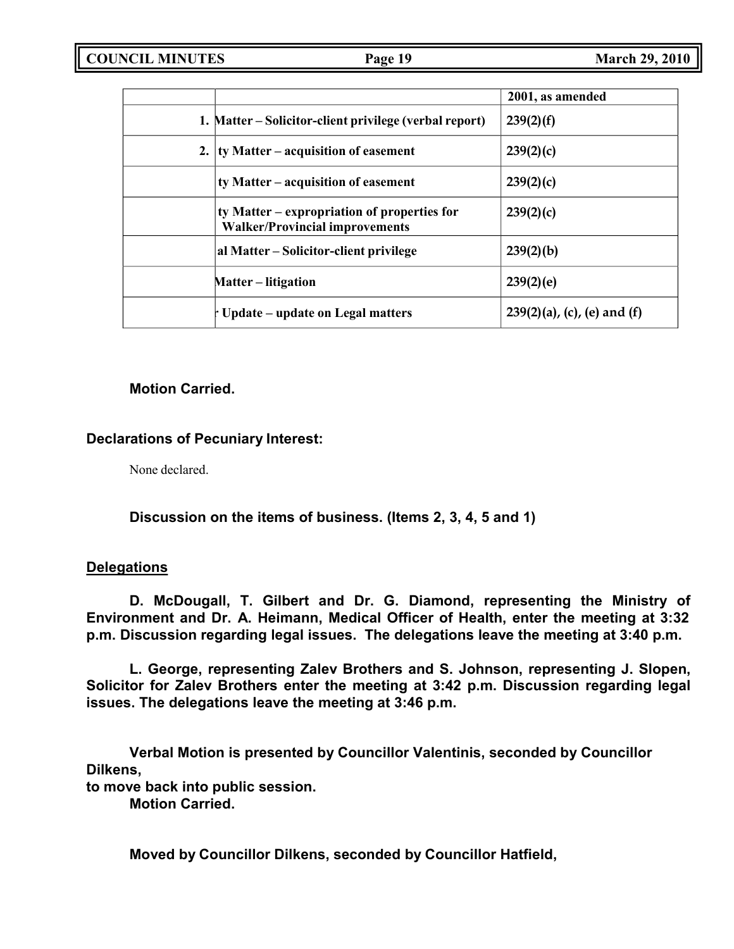|                                                                                      | 2001, as amended               |
|--------------------------------------------------------------------------------------|--------------------------------|
| 1. Matter – Solicitor-client privilege (verbal report)                               | 239(2)(f)                      |
| 2. $\vert$ ty Matter – acquisition of easement                                       | 239(2)(c)                      |
| ty Matter – acquisition of easement                                                  | 239(2)(c)                      |
| ty Matter – expropriation of properties for<br><b>Walker/Provincial improvements</b> | 239(2)(c)                      |
| al Matter – Solicitor-client privilege                                               | 239(2)(b)                      |
| <b>Matter</b> – litigation                                                           | 239(2)(e)                      |
| † Update – update on Legal matters                                                   | $239(2)(a)$ , (c), (e) and (f) |

## **Motion Carried.**

## **Declarations of Pecuniary Interest:**

None declared.

# **Discussion on the items of business. (Items 2, 3, 4, 5 and 1)**

## **Delegations**

**D. McDougall, T. Gilbert and Dr. G. Diamond, representing the Ministry of Environment and Dr. A. Heimann, Medical Officer of Health, enter the meeting at 3:32 p.m. Discussion regarding legal issues. The delegations leave the meeting at 3:40 p.m.**

**L. George, representing Zalev Brothers and S. Johnson, representing J. Slopen, Solicitor for Zalev Brothers enter the meeting at 3:42 p.m. Discussion regarding legal issues. The delegations leave the meeting at 3:46 p.m.**

**Verbal Motion is presented by Councillor Valentinis, seconded by Councillor Dilkens,**

**to move back into public session.**

**Motion Carried.**

**Moved by Councillor Dilkens, seconded by Councillor Hatfield,**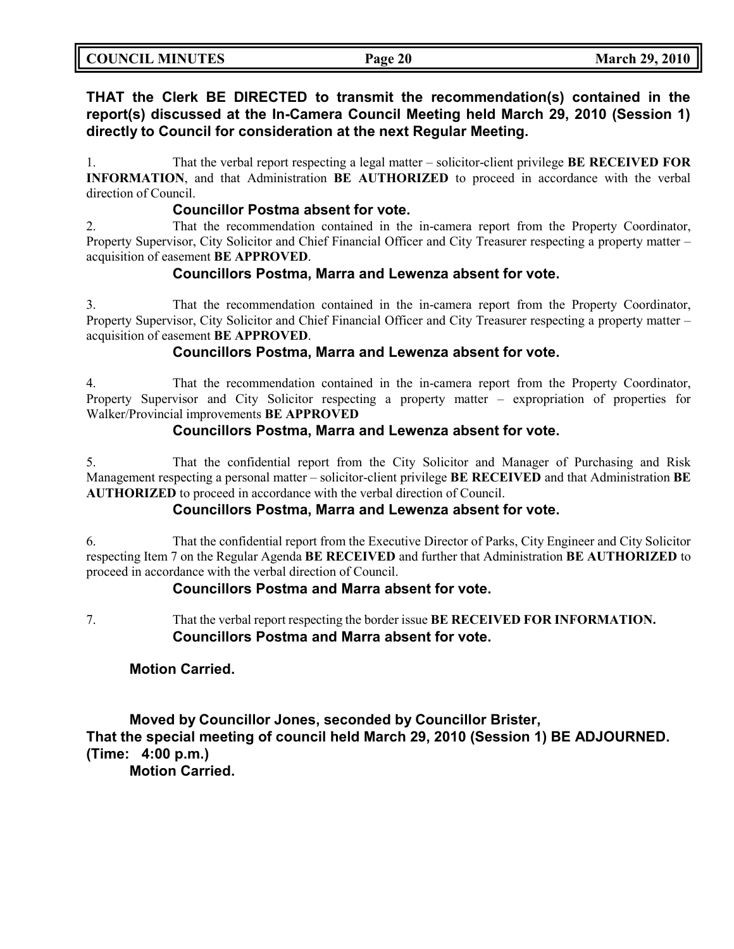| <b>COUNCIL MINUTES</b> | Page 20 | <b>March 29, 2010</b> |
|------------------------|---------|-----------------------|
|                        |         |                       |

**THAT the Clerk BE DIRECTED to transmit the recommendation(s) contained in the report(s) discussed at the In-Camera Council Meeting held March 29, 2010 (Session 1) directly to Council for consideration at the next Regular Meeting.**

1. That the verbal report respecting a legal matter – solicitor-client privilege **BE RECEIVED FOR INFORMATION**, and that Administration **BE AUTHORIZED** to proceed in accordance with the verbal direction of Council.

## **Councillor Postma absent for vote.**

2. That the recommendation contained in the in-camera report from the Property Coordinator, Property Supervisor, City Solicitor and Chief Financial Officer and City Treasurer respecting a property matter – acquisition of easement **BE APPROVED**.

## **Councillors Postma, Marra and Lewenza absent for vote.**

3. That the recommendation contained in the in-camera report from the Property Coordinator, Property Supervisor, City Solicitor and Chief Financial Officer and City Treasurer respecting a property matter – acquisition of easement **BE APPROVED**.

## **Councillors Postma, Marra and Lewenza absent for vote.**

4. That the recommendation contained in the in-camera report from the Property Coordinator, Property Supervisor and City Solicitor respecting a property matter – expropriation of properties for Walker/Provincial improvements **BE APPROVED**

## **Councillors Postma, Marra and Lewenza absent for vote.**

5. That the confidential report from the City Solicitor and Manager of Purchasing and Risk Management respecting a personal matter – solicitor-client privilege **BE RECEIVED** and that Administration **BE AUTHORIZED** to proceed in accordance with the verbal direction of Council.

## **Councillors Postma, Marra and Lewenza absent for vote.**

6. That the confidential report from the Executive Director of Parks, City Engineer and City Solicitor respecting Item 7 on the Regular Agenda **BE RECEIVED** and further that Administration **BE AUTHORIZED** to proceed in accordance with the verbal direction of Council.

## **Councillors Postma and Marra absent for vote.**

7. That the verbal report respecting the border issue **BE RECEIVED FOR INFORMATION. Councillors Postma and Marra absent for vote.**

## **Motion Carried.**

**Moved by Councillor Jones, seconded by Councillor Brister, That the special meeting of council held March 29, 2010 (Session 1) BE ADJOURNED. (Time: 4:00 p.m.)**

**Motion Carried.**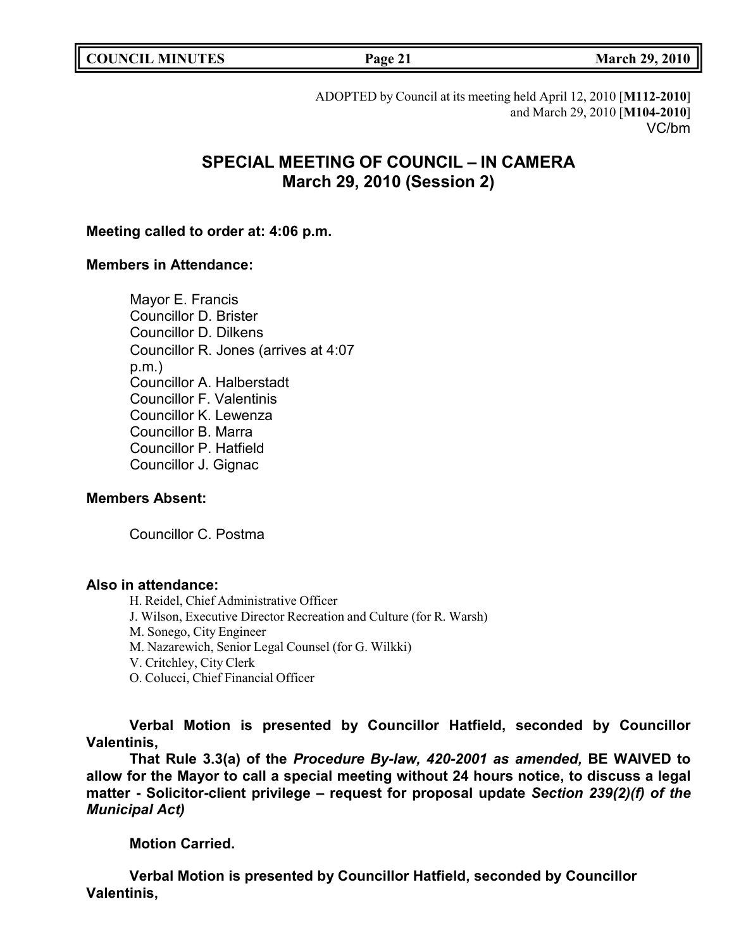|  | <b>COUNCIL MINUTES</b> |
|--|------------------------|
|--|------------------------|

# ADOPTED by Council at its meeting held April 12, 2010 [**M112-2010**] and March 29, 2010 [**M104-2010**] VC/bm

# **SPECIAL MEETING OF COUNCIL – IN CAMERA March 29, 2010 (Session 2)**

# **Meeting called to order at: 4:06 p.m.**

# **Members in Attendance:**

Mayor E. Francis Councillor D. Brister Councillor D. Dilkens Councillor R. Jones (arrives at 4:07 p.m.) Councillor A. Halberstadt Councillor F. Valentinis Councillor K. Lewenza Councillor B. Marra Councillor P. Hatfield Councillor J. Gignac

# **Members Absent:**

Councillor C. Postma

# **Also in attendance:**

H. Reidel, Chief Administrative Officer

J. Wilson, Executive Director Recreation and Culture (for R. Warsh)

M. Sonego, City Engineer

M. Nazarewich, Senior Legal Counsel (for G. Wilkki)

V. Critchley, City Clerk

O. Colucci, Chief Financial Officer

**Verbal Motion is presented by Councillor Hatfield, seconded by Councillor Valentinis,**

**That Rule 3.3(a) of the** *Procedure By-law, 420-2001 as amended,* **BE WAIVED to allow for the Mayor to call a special meeting without 24 hours notice, to discuss a legal matter - Solicitor-client privilege** *–* **request for proposal update** *Section 239(2)(f) of the Municipal Act)*

**Motion Carried.**

**Verbal Motion is presented by Councillor Hatfield, seconded by Councillor Valentinis,**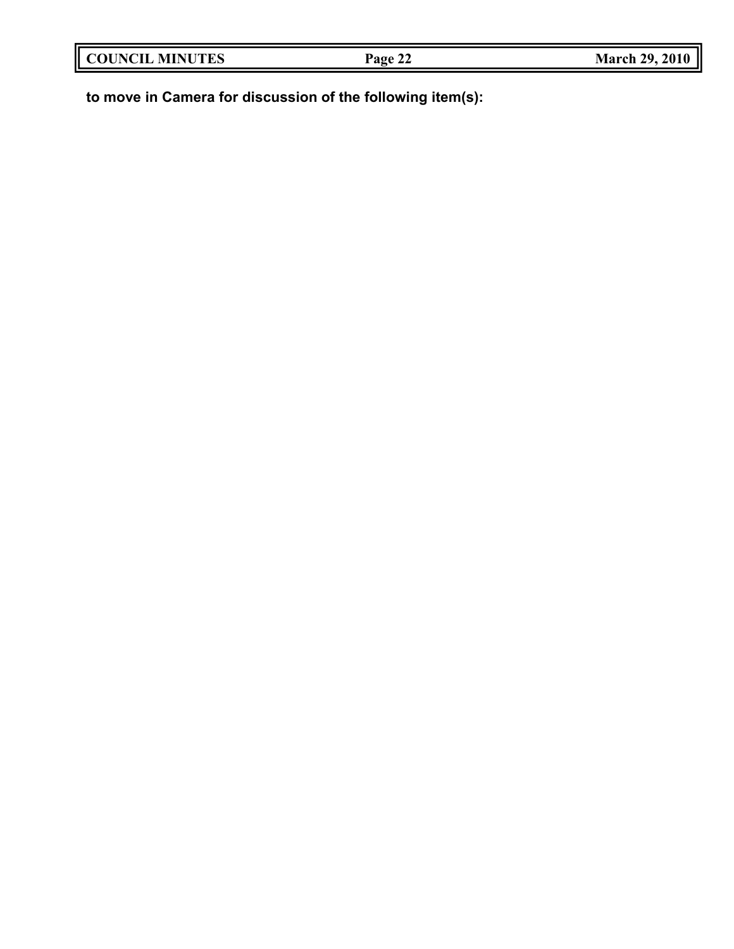| <b>COUNCIL MINUTES</b> | Page 22 | <b>March 29, 2010</b> |
|------------------------|---------|-----------------------|
|                        |         |                       |

**to move in Camera for discussion of the following item(s):**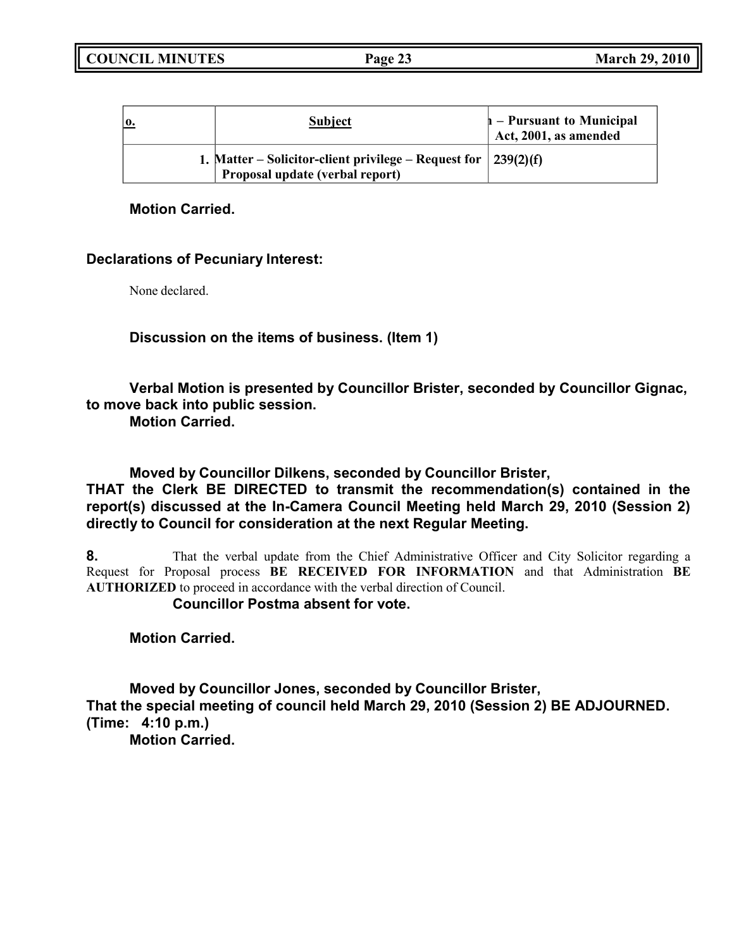| <b>0.</b> | <b>Subject</b>                                                                                                  | $\vert$ – Pursuant to Municipal<br>Act, 2001, as amended |
|-----------|-----------------------------------------------------------------------------------------------------------------|----------------------------------------------------------|
|           | 1. Matter – Solicitor-client privilege – Request for $\vert 239(2)(f) \vert$<br>Proposal update (verbal report) |                                                          |

## **Motion Carried.**

## **Declarations of Pecuniary Interest:**

None declared.

**Discussion on the items of business. (Item 1)**

**Verbal Motion is presented by Councillor Brister, seconded by Councillor Gignac, to move back into public session.**

**Motion Carried.**

**Moved by Councillor Dilkens, seconded by Councillor Brister,**

**THAT the Clerk BE DIRECTED to transmit the recommendation(s) contained in the report(s) discussed at the In-Camera Council Meeting held March 29, 2010 (Session 2) directly to Council for consideration at the next Regular Meeting.**

**8.** That the verbal update from the Chief Administrative Officer and City Solicitor regarding a Request for Proposal process **BE RECEIVED FOR INFORMATION** and that Administration **BE AUTHORIZED** to proceed in accordance with the verbal direction of Council.

**Councillor Postma absent for vote.**

**Motion Carried.**

**Moved by Councillor Jones, seconded by Councillor Brister, That the special meeting of council held March 29, 2010 (Session 2) BE ADJOURNED. (Time: 4:10 p.m.)**

**Motion Carried.**